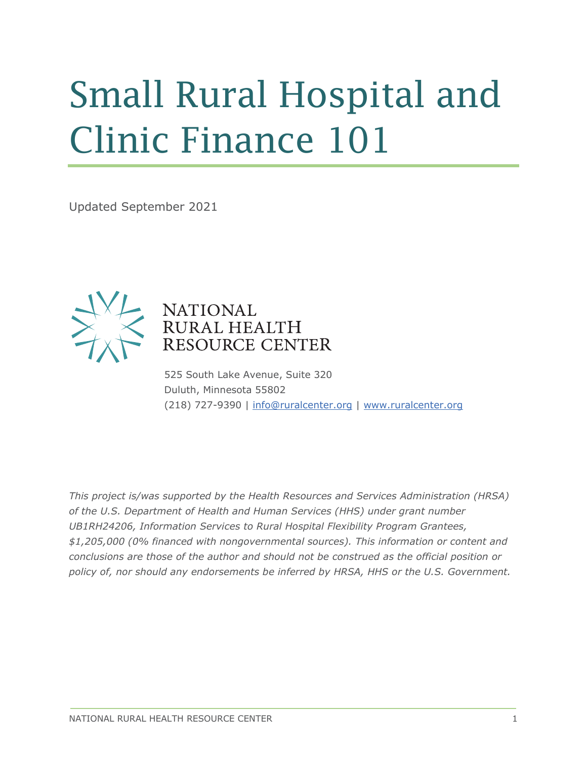# Small Rural Hospital and Clinic Finance 101

Updated September 2021



#### **NATIONAL** RURAL HEALTH RESOURCE CENTER

525 South Lake Avenue, Suite 320 Duluth, Minnesota 55802 (218) 727-9390 | [info@ruralcenter.org](mailto:info@ruralcenter.org) | [www.ruralcenter.org](http://www.ruralcenter.org/)

*This project is/was supported by the Health Resources and Services Administration (HRSA) of the U.S. Department of Health and Human Services (HHS) under grant number UB1RH24206, Information Services to Rural Hospital Flexibility Program Grantees, \$1,205,000 (0% financed with nongovernmental sources). This information or content and conclusions are those of the author and should not be construed as the official position or policy of, nor should any endorsements be inferred by HRSA, HHS or the U.S. Government.*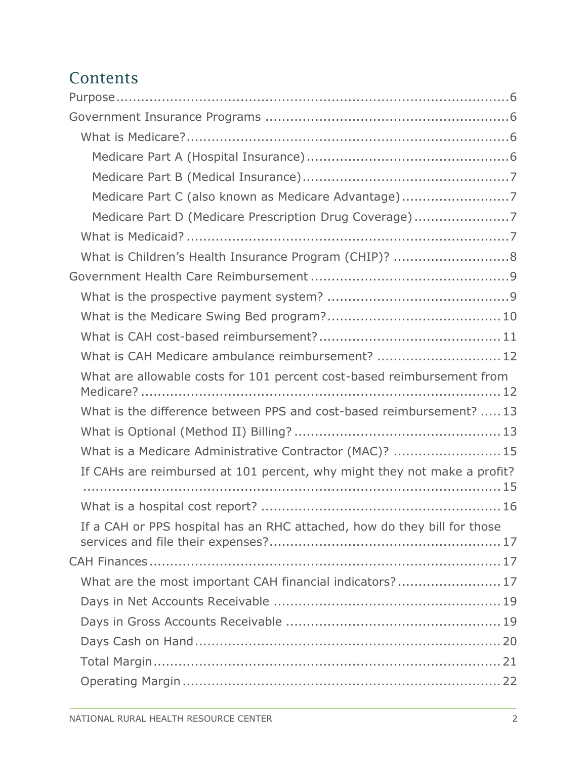#### Contents

| Medicare Part C (also known as Medicare Advantage)7                      |
|--------------------------------------------------------------------------|
| Medicare Part D (Medicare Prescription Drug Coverage)7                   |
|                                                                          |
| What is Children's Health Insurance Program (CHIP)? 8                    |
|                                                                          |
|                                                                          |
|                                                                          |
|                                                                          |
| What is CAH Medicare ambulance reimbursement?  12                        |
| What are allowable costs for 101 percent cost-based reimbursement from   |
| What is the difference between PPS and cost-based reimbursement?  13     |
|                                                                          |
| What is a Medicare Administrative Contractor (MAC)?  15                  |
| If CAHs are reimbursed at 101 percent, why might they not make a profit? |
|                                                                          |
| If a CAH or PPS hospital has an RHC attached, how do they bill for those |
|                                                                          |
| What are the most important CAH financial indicators? 17                 |
|                                                                          |
|                                                                          |
|                                                                          |
|                                                                          |
|                                                                          |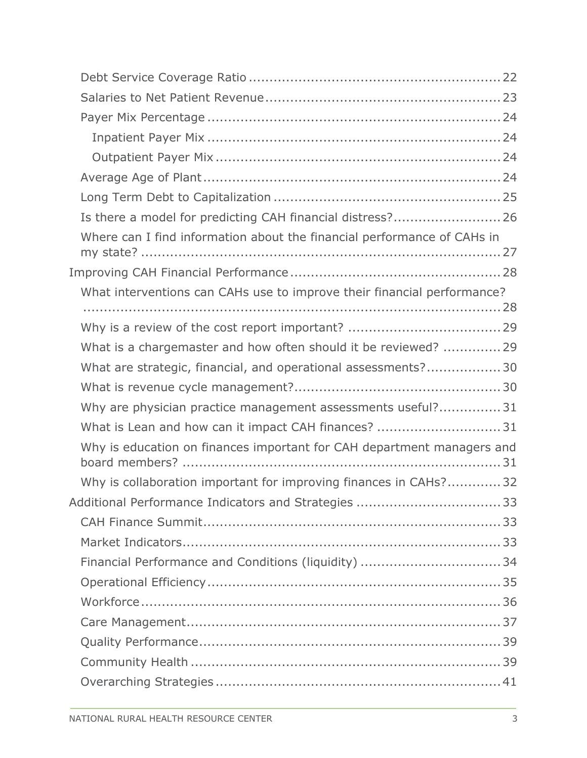| Is there a model for predicting CAH financial distress? 26              |  |
|-------------------------------------------------------------------------|--|
| Where can I find information about the financial performance of CAHs in |  |
|                                                                         |  |
| What interventions can CAHs use to improve their financial performance? |  |
|                                                                         |  |
|                                                                         |  |
| What is a chargemaster and how often should it be reviewed?  29         |  |
| What are strategic, financial, and operational assessments? 30          |  |
|                                                                         |  |
| Why are physician practice management assessments useful?31             |  |
| What is Lean and how can it impact CAH finances?  31                    |  |
| Why is education on finances important for CAH department managers and  |  |
| Why is collaboration important for improving finances in CAHs?32        |  |
|                                                                         |  |
|                                                                         |  |
|                                                                         |  |
| Financial Performance and Conditions (liquidity) 34                     |  |
|                                                                         |  |
|                                                                         |  |
|                                                                         |  |
|                                                                         |  |
|                                                                         |  |
|                                                                         |  |
|                                                                         |  |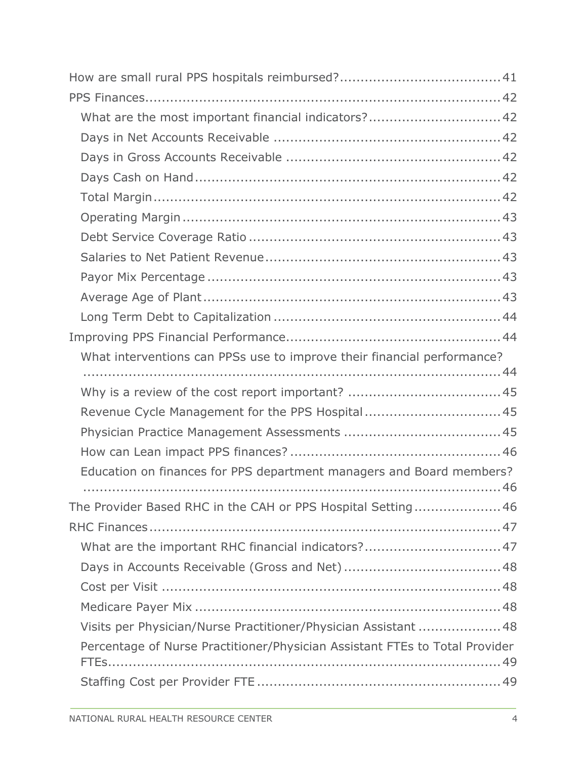| What are the most important financial indicators? 42                        |  |
|-----------------------------------------------------------------------------|--|
|                                                                             |  |
|                                                                             |  |
|                                                                             |  |
|                                                                             |  |
|                                                                             |  |
|                                                                             |  |
|                                                                             |  |
|                                                                             |  |
|                                                                             |  |
|                                                                             |  |
|                                                                             |  |
| What interventions can PPSs use to improve their financial performance?     |  |
|                                                                             |  |
|                                                                             |  |
|                                                                             |  |
| Revenue Cycle Management for the PPS Hospital45                             |  |
|                                                                             |  |
|                                                                             |  |
| Education on finances for PPS department managers and Board members?        |  |
|                                                                             |  |
| The Provider Based RHC in the CAH or PPS Hospital Setting46                 |  |
|                                                                             |  |
| What are the important RHC financial indicators? 47                         |  |
|                                                                             |  |
|                                                                             |  |
|                                                                             |  |
| Visits per Physician/Nurse Practitioner/Physician Assistant  48             |  |
| Percentage of Nurse Practitioner/Physician Assistant FTEs to Total Provider |  |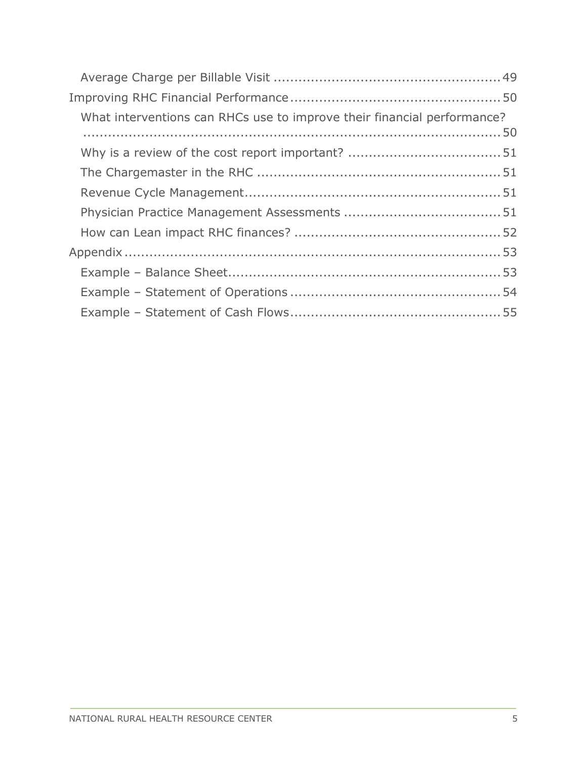| What interventions can RHCs use to improve their financial performance? |  |
|-------------------------------------------------------------------------|--|
|                                                                         |  |
|                                                                         |  |
|                                                                         |  |
|                                                                         |  |
|                                                                         |  |
|                                                                         |  |
|                                                                         |  |
|                                                                         |  |
|                                                                         |  |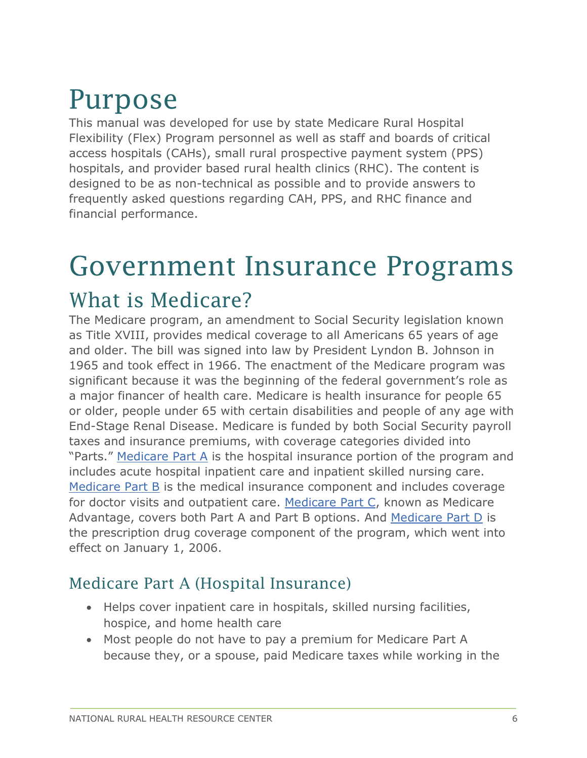### <span id="page-5-0"></span>Purpose

This manual was developed for use by state Medicare Rural Hospital Flexibility (Flex) Program personnel as well as staff and boards of critical access hospitals (CAHs), small rural prospective payment system (PPS) hospitals, and provider based rural health clinics (RHC). The content is designed to be as non-technical as possible and to provide answers to frequently asked questions regarding CAH, PPS, and RHC finance and financial performance.

### <span id="page-5-1"></span>Government Insurance Programs

#### <span id="page-5-2"></span>What is Medicare?

The Medicare program, an amendment to Social Security legislation known as Title XVIII, provides medical coverage to all Americans 65 years of age and older. The bill was signed into law by President Lyndon B. Johnson in 1965 and took effect in 1966. The enactment of the Medicare program was significant because it was the beginning of the federal government's role as a major financer of health care. Medicare is health insurance for people 65 or older, people under 65 with certain disabilities and people of any age with End-Stage Renal Disease. Medicare is funded by both Social Security payroll taxes and insurance premiums, with coverage categories divided into "Parts." [Medicare Part A](#page-5-3) is the hospital insurance portion of the program and includes acute hospital inpatient care and inpatient skilled nursing care. [Medicare Part B](#page-6-0) is the medical insurance component and includes coverage for doctor visits and outpatient care. [Medicare Part C,](#page-6-1) known as Medicare Advantage, covers both Part A and Part B options. And [Medicare Part D](#page-6-2) is the prescription drug coverage component of the program, which went into effect on January 1, 2006.

#### <span id="page-5-3"></span>Medicare Part A (Hospital Insurance)

- Helps cover inpatient care in hospitals, skilled nursing facilities, hospice, and home health care
- Most people do not have to pay a premium for Medicare Part A because they, or a spouse, paid Medicare taxes while working in the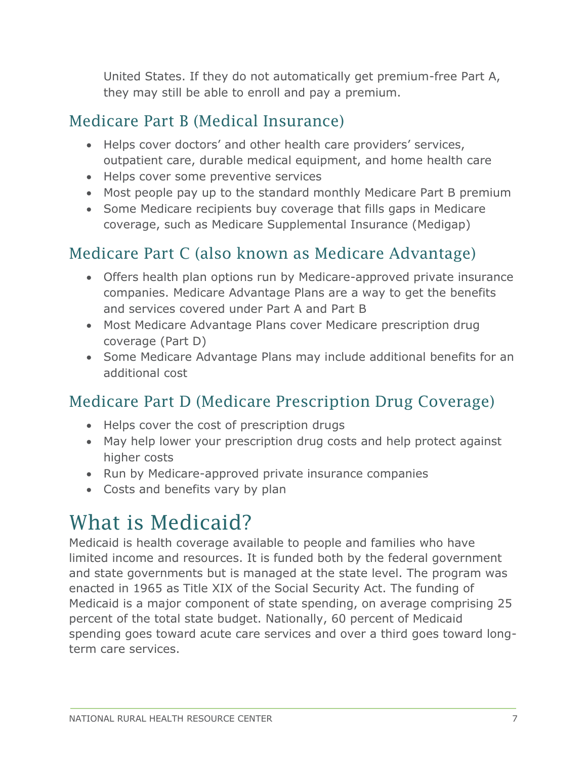United States. If they do not automatically get premium-free Part A, they may still be able to enroll and pay a premium.

#### <span id="page-6-0"></span>Medicare Part B (Medical Insurance)

- Helps cover doctors' and other health care providers' services, outpatient care, durable medical equipment, and home health care
- Helps cover some preventive services
- Most people pay up to the standard monthly Medicare Part B premium
- Some Medicare recipients buy coverage that fills gaps in Medicare coverage, such as Medicare Supplemental Insurance (Medigap)

#### <span id="page-6-1"></span>Medicare Part C (also known as Medicare Advantage)

- Offers health plan options run by Medicare-approved private insurance companies. Medicare Advantage Plans are a way to get the benefits and services covered under Part A and Part B
- Most Medicare Advantage Plans cover Medicare prescription drug coverage (Part D)
- Some Medicare Advantage Plans may include additional benefits for an additional cost

#### <span id="page-6-2"></span>Medicare Part D (Medicare Prescription Drug Coverage)

- Helps cover the cost of prescription drugs
- May help lower your prescription drug costs and help protect against higher costs
- Run by Medicare-approved private insurance companies
- Costs and benefits vary by plan

#### <span id="page-6-3"></span>What is Medicaid?

Medicaid is health coverage available to people and families who have limited income and resources. It is funded both by the federal government and state governments but is managed at the state level. The program was enacted in 1965 as Title XIX of the Social Security Act. The funding of Medicaid is a major component of state spending, on average comprising 25 percent of the total state budget. Nationally, 60 percent of Medicaid spending goes toward acute care services and over a third goes toward longterm care services.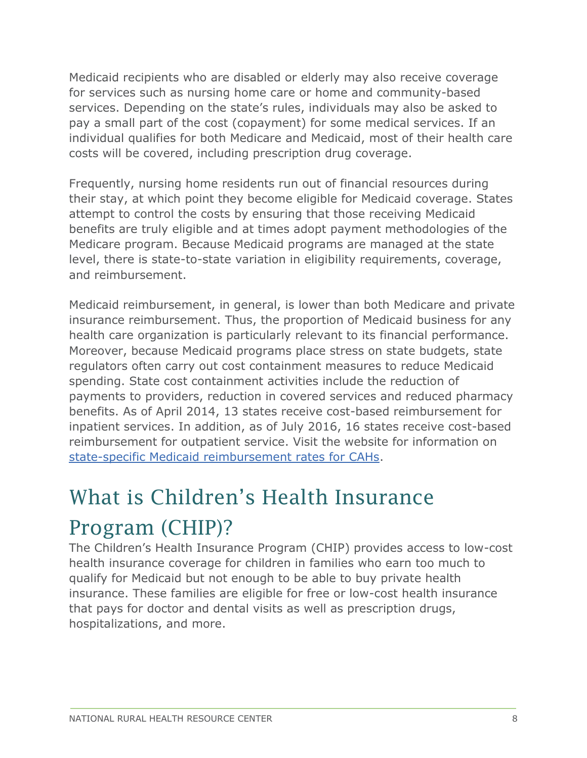Medicaid recipients who are disabled or elderly may also receive coverage for services such as nursing home care or home and community-based services. Depending on the state's rules, individuals may also be asked to pay a small part of the cost (copayment) for some medical services. If an individual qualifies for both Medicare and Medicaid, most of their health care costs will be covered, including prescription drug coverage.

Frequently, nursing home residents run out of financial resources during their stay, at which point they become eligible for Medicaid coverage. States attempt to control the costs by ensuring that those receiving Medicaid benefits are truly eligible and at times adopt payment methodologies of the Medicare program. Because Medicaid programs are managed at the state level, there is state-to-state variation in eligibility requirements, coverage, and reimbursement.

Medicaid reimbursement, in general, is lower than both Medicare and private insurance reimbursement. Thus, the proportion of Medicaid business for any health care organization is particularly relevant to its financial performance. Moreover, because Medicaid programs place stress on state budgets, state regulators often carry out cost containment measures to reduce Medicaid spending. State cost containment activities include the reduction of payments to providers, reduction in covered services and reduced pharmacy benefits. As of April 2014, 13 states receive cost-based reimbursement for inpatient services. In addition, as of July 2016, 16 states receive cost-based reimbursement for outpatient service. Visit the website for information on [state-specific Medicaid reimbursement rates for CAHs.](https://www.ruralhealthinfo.org/topics/critical-access-hospitals#medicaid)

### <span id="page-7-0"></span>What is Children's Health Insurance Program (CHIP)?

The Children's Health Insurance Program (CHIP) provides access to low-cost health insurance coverage for children in families who earn too much to qualify for Medicaid but not enough to be able to buy private health insurance. These families are eligible for free or low-cost health insurance that pays for doctor and dental visits as well as prescription drugs, hospitalizations, and more.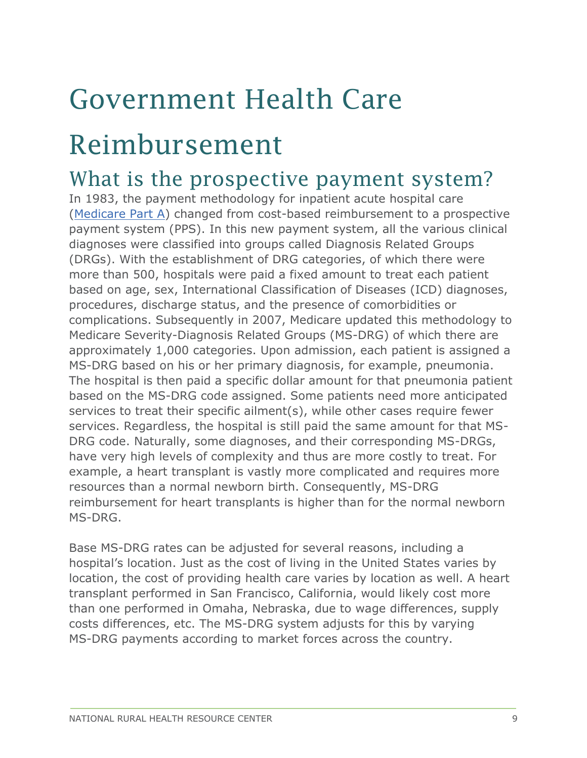# <span id="page-8-0"></span>Government Health Care

### Reimbursement

#### <span id="page-8-1"></span>What is the prospective payment system?

In 1983, the payment methodology for inpatient acute hospital care [\(Medicare Part A\)](#page-5-3) changed from cost-based reimbursement to a prospective payment system (PPS). In this new payment system, all the various clinical diagnoses were classified into groups called Diagnosis Related Groups (DRGs). With the establishment of DRG categories, of which there were more than 500, hospitals were paid a fixed amount to treat each patient based on age, sex, International Classification of Diseases (ICD) diagnoses, procedures, discharge status, and the presence of comorbidities or complications. Subsequently in 2007, Medicare updated this methodology to Medicare Severity-Diagnosis Related Groups (MS-DRG) of which there are approximately 1,000 categories. Upon admission, each patient is assigned a MS-DRG based on his or her primary diagnosis, for example, pneumonia. The hospital is then paid a specific dollar amount for that pneumonia patient based on the MS-DRG code assigned. Some patients need more anticipated services to treat their specific ailment(s), while other cases require fewer services. Regardless, the hospital is still paid the same amount for that MS-DRG code. Naturally, some diagnoses, and their corresponding MS-DRGs, have very high levels of complexity and thus are more costly to treat. For example, a heart transplant is vastly more complicated and requires more resources than a normal newborn birth. Consequently, MS-DRG reimbursement for heart transplants is higher than for the normal newborn MS-DRG.

Base MS-DRG rates can be adjusted for several reasons, including a hospital's location. Just as the cost of living in the United States varies by location, the cost of providing health care varies by location as well. A heart transplant performed in San Francisco, California, would likely cost more than one performed in Omaha, Nebraska, due to wage differences, supply costs differences, etc. The MS-DRG system adjusts for this by varying MS-DRG payments according to market forces across the country.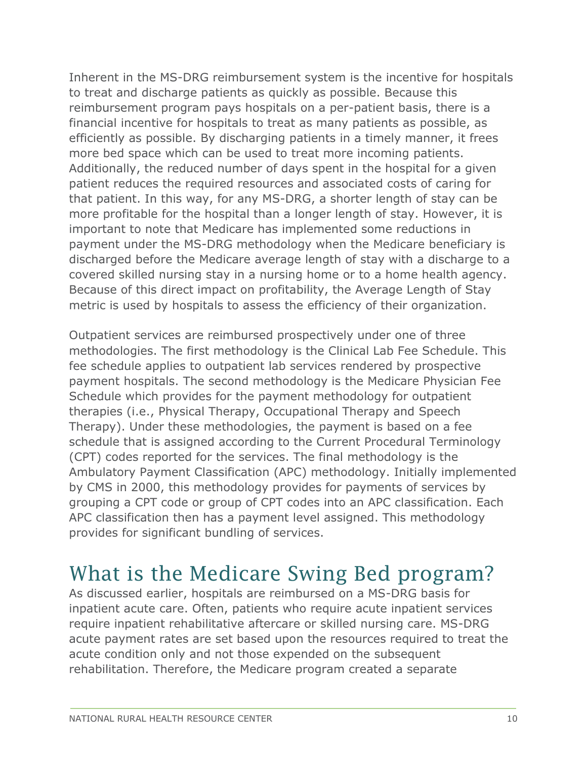Inherent in the MS-DRG reimbursement system is the incentive for hospitals to treat and discharge patients as quickly as possible. Because this reimbursement program pays hospitals on a per-patient basis, there is a financial incentive for hospitals to treat as many patients as possible, as efficiently as possible. By discharging patients in a timely manner, it frees more bed space which can be used to treat more incoming patients. Additionally, the reduced number of days spent in the hospital for a given patient reduces the required resources and associated costs of caring for that patient. In this way, for any MS-DRG, a shorter length of stay can be more profitable for the hospital than a longer length of stay. However, it is important to note that Medicare has implemented some reductions in payment under the MS-DRG methodology when the Medicare beneficiary is discharged before the Medicare average length of stay with a discharge to a covered skilled nursing stay in a nursing home or to a home health agency. Because of this direct impact on profitability, the Average Length of Stay metric is used by hospitals to assess the efficiency of their organization.

Outpatient services are reimbursed prospectively under one of three methodologies. The first methodology is the Clinical Lab Fee Schedule. This fee schedule applies to outpatient lab services rendered by prospective payment hospitals. The second methodology is the Medicare Physician Fee Schedule which provides for the payment methodology for outpatient therapies (i.e., Physical Therapy, Occupational Therapy and Speech Therapy). Under these methodologies, the payment is based on a fee schedule that is assigned according to the Current Procedural Terminology (CPT) codes reported for the services. The final methodology is the Ambulatory Payment Classification (APC) methodology. Initially implemented by CMS in 2000, this methodology provides for payments of services by grouping a CPT code or group of CPT codes into an APC classification. Each APC classification then has a payment level assigned. This methodology provides for significant bundling of services.

#### <span id="page-9-0"></span>What is the Medicare Swing Bed program?

As discussed earlier, hospitals are reimbursed on a MS-DRG basis for inpatient acute care. Often, patients who require acute inpatient services require inpatient rehabilitative aftercare or skilled nursing care. MS-DRG acute payment rates are set based upon the resources required to treat the acute condition only and not those expended on the subsequent rehabilitation. Therefore, the Medicare program created a separate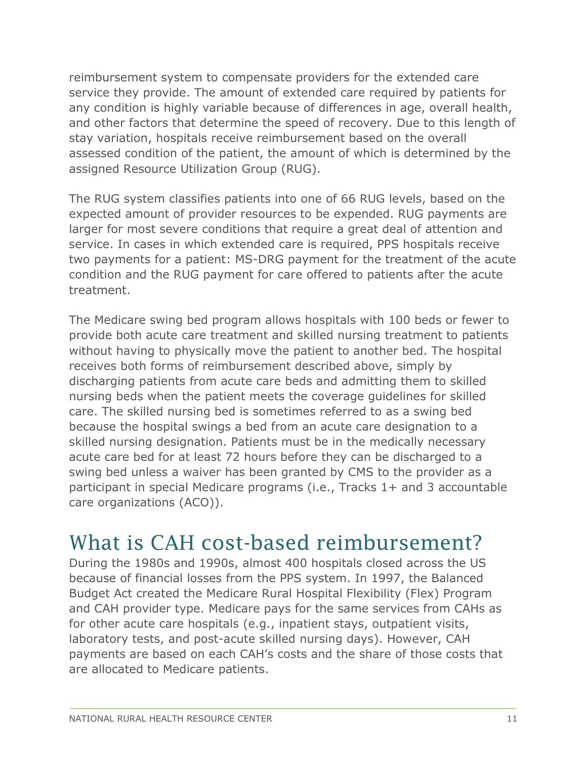reimbursement system to compensate providers for the extended care service they provide. The amount of extended care required by patients for any condition is highly variable because of differences in age, overall health, and other factors that determine the speed of recovery. Due to this length of stay variation, hospitals receive reimbursement based on the overall assessed condition of the patient, the amount of which is determined by the assigned Resource Utilization Group (RUG).

The RUG system classifies patients into one of 66 RUG levels, based on the expected amount of provider resources to be expended. RUG payments are larger for most severe conditions that require a great deal of attention and service. In cases in which extended care is required, PPS hospitals receive two payments for a patient: MS-DRG payment for the treatment of the acute condition and the RUG payment for care offered to patients after the acute treatment.

The Medicare swing bed program allows hospitals with 100 beds or fewer to provide both acute care treatment and skilled nursing treatment to patients without having to physically move the patient to another bed. The hospital receives both forms of reimbursement described above, simply by discharging patients from acute care beds and admitting them to skilled nursing beds when the patient meets the coverage guidelines for skilled care. The skilled nursing bed is sometimes referred to as a swing bed because the hospital swings a bed from an acute care designation to a skilled nursing designation. Patients must be in the medically necessary acute care bed for at least 72 hours before they can be discharged to a swing bed unless a waiver has been granted by CMS to the provider as a participant in special Medicare programs (i.e., Tracks 1+ and 3 accountable care organizations (ACO)).

#### <span id="page-10-0"></span>What is CAH cost-based reimbursement?

During the 1980s and 1990s, almost 400 hospitals closed across the US because of financial losses from the PPS system. In 1997, the Balanced Budget Act created the Medicare Rural Hospital Flexibility (Flex) Program and CAH provider type. Medicare pays for the same services from CAHs as for other acute care hospitals (e.g., inpatient stays, outpatient visits, laboratory tests, and post-acute skilled nursing days). However, CAH payments are based on each CAH's costs and the share of those costs that are allocated to Medicare patients.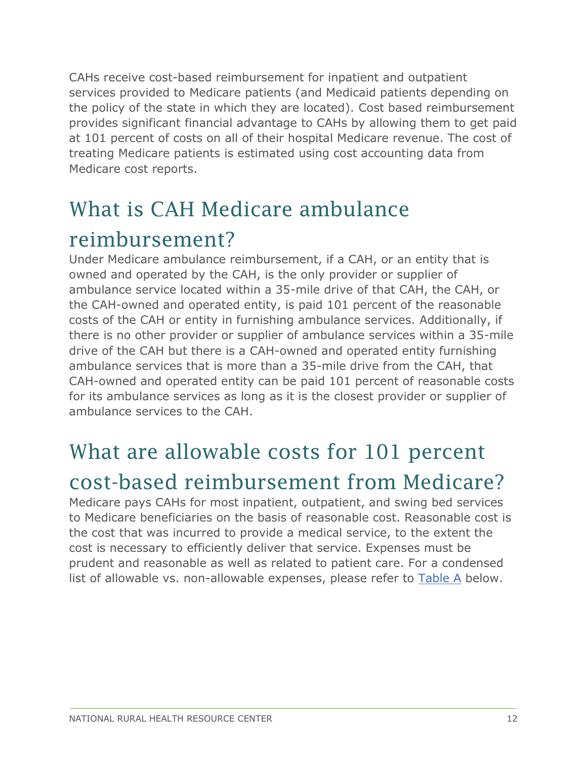CAHs receive cost-based reimbursement for inpatient and outpatient services provided to Medicare patients (and Medicaid patients depending on the policy of the state in which they are located). Cost based reimbursement provides significant financial advantage to CAHs by allowing them to get paid at 101 percent of costs on all of their hospital Medicare revenue. The cost of treating Medicare patients is estimated using cost accounting data from Medicare cost reports.

### <span id="page-11-0"></span>What is CAH Medicare ambulance

#### reimbursement?

Under Medicare ambulance reimbursement, if a CAH, or an entity that is owned and operated by the CAH, is the only provider or supplier of ambulance service located within a 35-mile drive of that CAH, the CAH, or the CAH-owned and operated entity, is paid 101 percent of the reasonable costs of the CAH or entity in furnishing ambulance services. Additionally, if there is no other provider or supplier of ambulance services within a 35-mile drive of the CAH but there is a CAH-owned and operated entity furnishing ambulance services that is more than a 35-mile drive from the CAH, that CAH-owned and operated entity can be paid 101 percent of reasonable costs for its ambulance services as long as it is the closest provider or supplier of ambulance services to the CAH.

#### <span id="page-11-1"></span>What are allowable costs for 101 percent cost-based reimbursement from Medicare?

<span id="page-11-2"></span>Medicare pays CAHs for most inpatient, outpatient, and swing bed services to Medicare beneficiaries on the basis of reasonable cost. Reasonable cost is the cost that was incurred to provide a medical service, to the extent the cost is necessary to efficiently deliver that service. Expenses must be prudent and reasonable as well as related to patient care. For a condensed list of allowable vs. non-allowable expenses, please refer to [Table A](#page-11-2) below.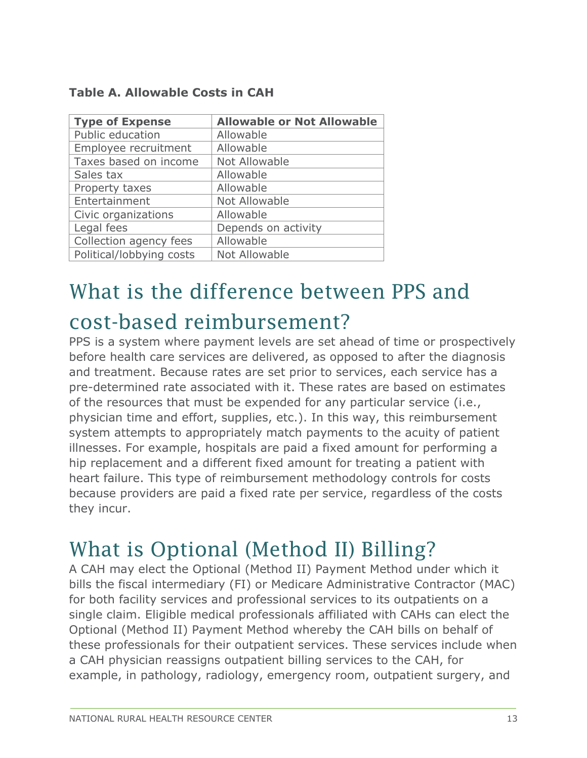| <b>Type of Expense</b>   | <b>Allowable or Not Allowable</b> |
|--------------------------|-----------------------------------|
| Public education         | Allowable                         |
| Employee recruitment     | Allowable                         |
| Taxes based on income    | Not Allowable                     |
| Sales tax                | Allowable                         |
| Property taxes           | Allowable                         |
| Entertainment            | Not Allowable                     |
| Civic organizations      | Allowable                         |
| Legal fees               | Depends on activity               |
| Collection agency fees   | Allowable                         |
| Political/lobbying costs | Not Allowable                     |

#### **Table A. Allowable Costs in CAH**

### <span id="page-12-0"></span>What is the difference between PPS and cost-based reimbursement?

PPS is a system where payment levels are set ahead of time or prospectively before health care services are delivered, as opposed to after the diagnosis and treatment. Because rates are set prior to services, each service has a pre-determined rate associated with it. These rates are based on estimates of the resources that must be expended for any particular service (i.e., physician time and effort, supplies, etc.). In this way, this reimbursement system attempts to appropriately match payments to the acuity of patient illnesses. For example, hospitals are paid a fixed amount for performing a hip replacement and a different fixed amount for treating a patient with heart failure. This type of reimbursement methodology controls for costs because providers are paid a fixed rate per service, regardless of the costs they incur.

#### <span id="page-12-1"></span>What is Optional (Method II) Billing?

A CAH may elect the Optional (Method II) Payment Method under which it bills the fiscal intermediary (FI) or Medicare Administrative Contractor (MAC) for both facility services and professional services to its outpatients on a single claim. Eligible medical professionals affiliated with CAHs can elect the Optional (Method II) Payment Method whereby the CAH bills on behalf of these professionals for their outpatient services. These services include when a CAH physician reassigns outpatient billing services to the CAH, for example, in pathology, radiology, emergency room, outpatient surgery, and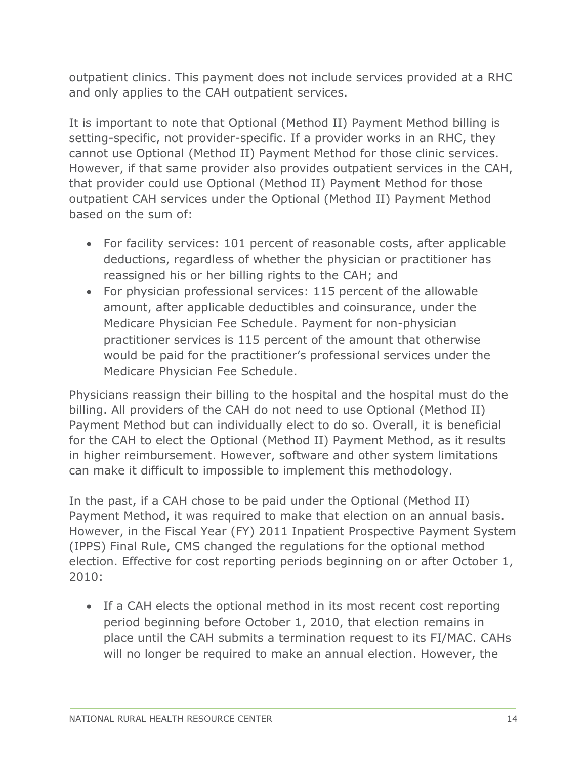outpatient clinics. This payment does not include services provided at a RHC and only applies to the CAH outpatient services.

It is important to note that Optional (Method II) Payment Method billing is setting-specific, not provider-specific. If a provider works in an RHC, they cannot use Optional (Method II) Payment Method for those clinic services. However, if that same provider also provides outpatient services in the CAH, that provider could use Optional (Method II) Payment Method for those outpatient CAH services under the Optional (Method II) Payment Method based on the sum of:

- For facility services: 101 percent of reasonable costs, after applicable deductions, regardless of whether the physician or practitioner has reassigned his or her billing rights to the CAH; and
- For physician professional services: 115 percent of the allowable amount, after applicable deductibles and coinsurance, under the Medicare Physician Fee Schedule. Payment for non-physician practitioner services is 115 percent of the amount that otherwise would be paid for the practitioner's professional services under the Medicare Physician Fee Schedule.

Physicians reassign their billing to the hospital and the hospital must do the billing. All providers of the CAH do not need to use Optional (Method II) Payment Method but can individually elect to do so. Overall, it is beneficial for the CAH to elect the Optional (Method II) Payment Method, as it results in higher reimbursement. However, software and other system limitations can make it difficult to impossible to implement this methodology.

In the past, if a CAH chose to be paid under the Optional (Method II) Payment Method, it was required to make that election on an annual basis. However, in the Fiscal Year (FY) 2011 Inpatient Prospective Payment System (IPPS) Final Rule, CMS changed the regulations for the optional method election. Effective for cost reporting periods beginning on or after October 1, 2010:

• If a CAH elects the optional method in its most recent cost reporting period beginning before October 1, 2010, that election remains in place until the CAH submits a termination request to its FI/MAC. CAHs will no longer be required to make an annual election. However, the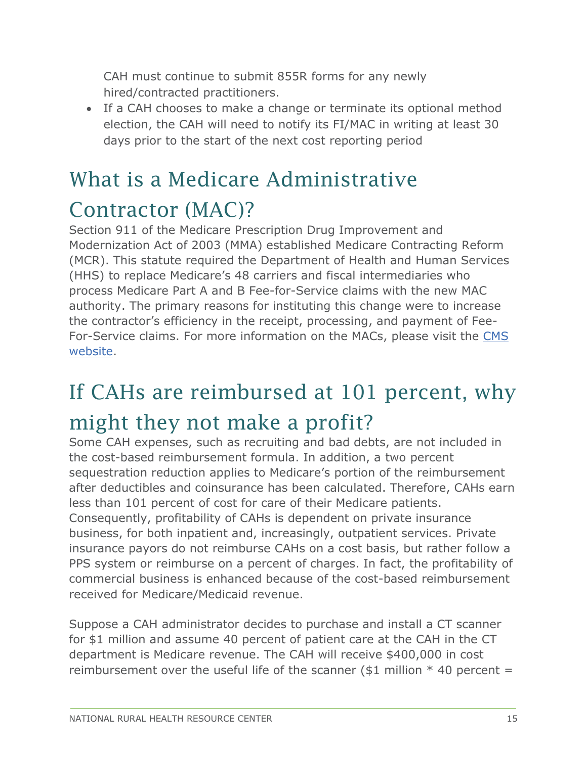CAH must continue to submit 855R forms for any newly hired/contracted practitioners.

• If a CAH chooses to make a change or terminate its optional method election, the CAH will need to notify its FI/MAC in writing at least 30 days prior to the start of the next cost reporting period

### <span id="page-14-0"></span>What is a Medicare Administrative Contractor (MAC)?

Section 911 of the Medicare Prescription Drug Improvement and Modernization Act of 2003 (MMA) established Medicare Contracting Reform (MCR). This statute required the Department of Health and Human Services (HHS) to replace Medicare's 48 carriers and fiscal intermediaries who process Medicare Part A and B Fee-for-Service claims with the new MAC authority. The primary reasons for instituting this change were to increase the contractor's efficiency in the receipt, processing, and payment of Fee-For-Service claims. For more information on the MACs, please visit the [CMS](https://www.cms.gov/Medicare/Medicare-Contracting/Medicare-Administrative-Contractors/MedicareAdministrativeContractors.html)  [website.](https://www.cms.gov/Medicare/Medicare-Contracting/Medicare-Administrative-Contractors/MedicareAdministrativeContractors.html)

# <span id="page-14-1"></span>If CAHs are reimbursed at 101 percent, why

#### might they not make a profit?

Some CAH expenses, such as recruiting and bad debts, are not included in the cost-based reimbursement formula. In addition, a two percent sequestration reduction applies to Medicare's portion of the reimbursement after deductibles and coinsurance has been calculated. Therefore, CAHs earn less than 101 percent of cost for care of their Medicare patients. Consequently, profitability of CAHs is dependent on private insurance business, for both inpatient and, increasingly, outpatient services. Private insurance payors do not reimburse CAHs on a cost basis, but rather follow a PPS system or reimburse on a percent of charges. In fact, the profitability of commercial business is enhanced because of the cost-based reimbursement received for Medicare/Medicaid revenue.

Suppose a CAH administrator decides to purchase and install a CT scanner for \$1 million and assume 40 percent of patient care at the CAH in the CT department is Medicare revenue. The CAH will receive \$400,000 in cost reimbursement over the useful life of the scanner (\$1 million  $*$  40 percent =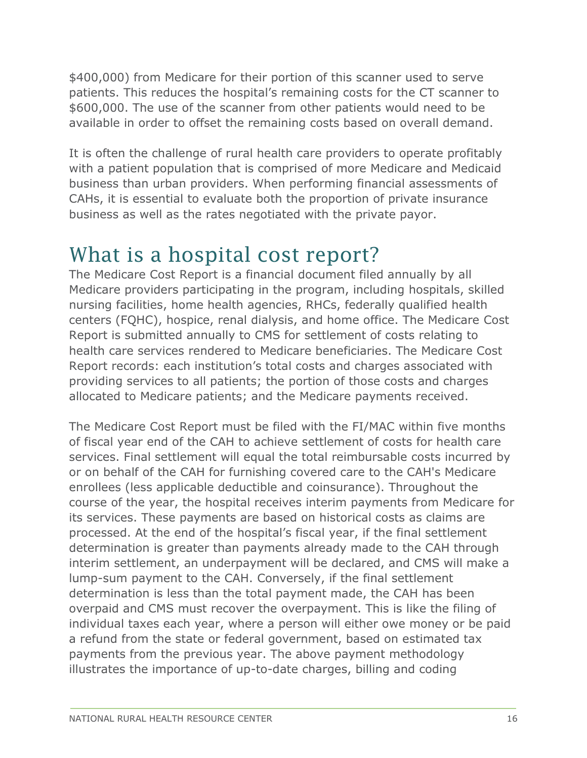\$400,000) from Medicare for their portion of this scanner used to serve patients. This reduces the hospital's remaining costs for the CT scanner to \$600,000. The use of the scanner from other patients would need to be available in order to offset the remaining costs based on overall demand.

It is often the challenge of rural health care providers to operate profitably with a patient population that is comprised of more Medicare and Medicaid business than urban providers. When performing financial assessments of CAHs, it is essential to evaluate both the proportion of private insurance business as well as the rates negotiated with the private payor.

#### <span id="page-15-0"></span>What is a hospital cost report?

The Medicare Cost Report is a financial document filed annually by all Medicare providers participating in the program, including hospitals, skilled nursing facilities, home health agencies, RHCs, federally qualified health centers (FQHC), hospice, renal dialysis, and home office. The Medicare Cost Report is submitted annually to CMS for settlement of costs relating to health care services rendered to Medicare beneficiaries. The Medicare Cost Report records: each institution's total costs and charges associated with providing services to all patients; the portion of those costs and charges allocated to Medicare patients; and the Medicare payments received.

The Medicare Cost Report must be filed with the FI/MAC within five months of fiscal year end of the CAH to achieve settlement of costs for health care services. Final settlement will equal the total reimbursable costs incurred by or on behalf of the CAH for furnishing covered care to the CAH's Medicare enrollees (less applicable deductible and coinsurance). Throughout the course of the year, the hospital receives interim payments from Medicare for its services. These payments are based on historical costs as claims are processed. At the end of the hospital's fiscal year, if the final settlement determination is greater than payments already made to the CAH through interim settlement, an underpayment will be declared, and CMS will make a lump-sum payment to the CAH. Conversely, if the final settlement determination is less than the total payment made, the CAH has been overpaid and CMS must recover the overpayment. This is like the filing of individual taxes each year, where a person will either owe money or be paid a refund from the state or federal government, based on estimated tax payments from the previous year. The above payment methodology illustrates the importance of up-to-date charges, billing and coding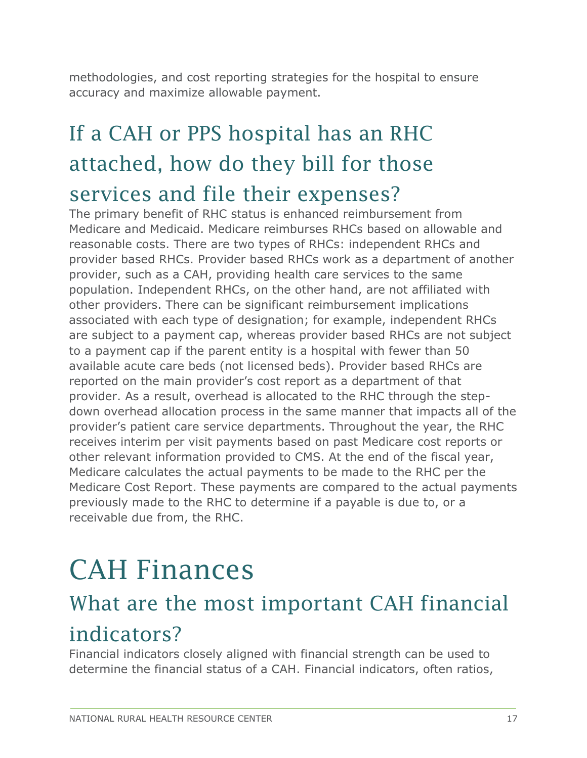methodologies, and cost reporting strategies for the hospital to ensure accuracy and maximize allowable payment.

### <span id="page-16-0"></span>If a CAH or PPS hospital has an RHC attached, how do they bill for those services and file their expenses?

The primary benefit of RHC status is enhanced reimbursement from Medicare and Medicaid. Medicare reimburses RHCs based on allowable and reasonable costs. There are two types of RHCs: independent RHCs and provider based RHCs. Provider based RHCs work as a department of another provider, such as a CAH, providing health care services to the same population. Independent RHCs, on the other hand, are not affiliated with other providers. There can be significant reimbursement implications associated with each type of designation; for example, independent RHCs are subject to a payment cap, whereas provider based RHCs are not subject to a payment cap if the parent entity is a hospital with fewer than 50 available acute care beds (not licensed beds). Provider based RHCs are reported on the main provider's cost report as a department of that provider. As a result, overhead is allocated to the RHC through the stepdown overhead allocation process in the same manner that impacts all of the provider's patient care service departments. Throughout the year, the RHC receives interim per visit payments based on past Medicare cost reports or other relevant information provided to CMS. At the end of the fiscal year, Medicare calculates the actual payments to be made to the RHC per the Medicare Cost Report. These payments are compared to the actual payments previously made to the RHC to determine if a payable is due to, or a receivable due from, the RHC.

## <span id="page-16-1"></span>CAH Finances

#### <span id="page-16-2"></span>What are the most important CAH financial indicators?

Financial indicators closely aligned with financial strength can be used to determine the financial status of a CAH. Financial indicators, often ratios,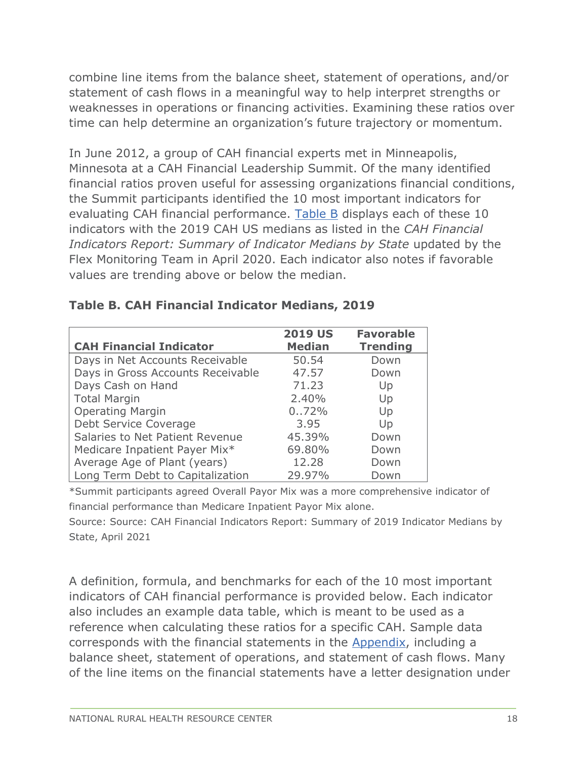combine line items from the balance sheet, statement of operations, and/or statement of cash flows in a meaningful way to help interpret strengths or weaknesses in operations or financing activities. Examining these ratios over time can help determine an organization's future trajectory or momentum.

In June 2012, a group of CAH financial experts met in Minneapolis, Minnesota at a CAH Financial Leadership Summit. Of the many identified financial ratios proven useful for assessing organizations financial conditions, the Summit participants identified the 10 most important indicators for evaluating CAH financial performance. [Table B](#page-17-0) displays each of these 10 indicators with the 2019 CAH US medians as listed in the *CAH Financial Indicators Report: Summary of Indicator Medians by State* updated by the Flex Monitoring Team in April 2020. Each indicator also notes if favorable values are trending above or below the median.

|                                   | <b>2019 US</b> | <b>Favorable</b> |
|-----------------------------------|----------------|------------------|
| <b>CAH Financial Indicator</b>    | <b>Median</b>  | <b>Trending</b>  |
| Days in Net Accounts Receivable   | 50.54          | Down             |
| Days in Gross Accounts Receivable | 47.57          | Down             |
| Days Cash on Hand                 | 71.23          | Up               |
| <b>Total Margin</b>               | 2.40%          | Up               |
| <b>Operating Margin</b>           | $0.072\%$      | Up               |
| Debt Service Coverage             | 3.95           | Up               |
| Salaries to Net Patient Revenue   | 45.39%         | Down             |
| Medicare Inpatient Payer Mix*     | 69.80%         | Down             |
| Average Age of Plant (years)      | 12.28          | Down             |
| Long Term Debt to Capitalization  | 29.97%         | Down             |

#### <span id="page-17-0"></span>**Table B. CAH Financial Indicator Medians, 2019**

\*Summit participants agreed Overall Payor Mix was a more comprehensive indicator of financial performance than Medicare Inpatient Payor Mix alone.

Source: Source: CAH Financial Indicators Report: Summary of 2019 Indicator Medians by State, April 2021

A definition, formula, and benchmarks for each of the 10 most important indicators of CAH financial performance is provided below. Each indicator also includes an example data table, which is meant to be used as a reference when calculating these ratios for a specific CAH. Sample data corresponds with the financial statements in the Appendix, including a balance sheet, statement of operations, and statement of cash flows. Many of the line items on the financial statements have a letter designation under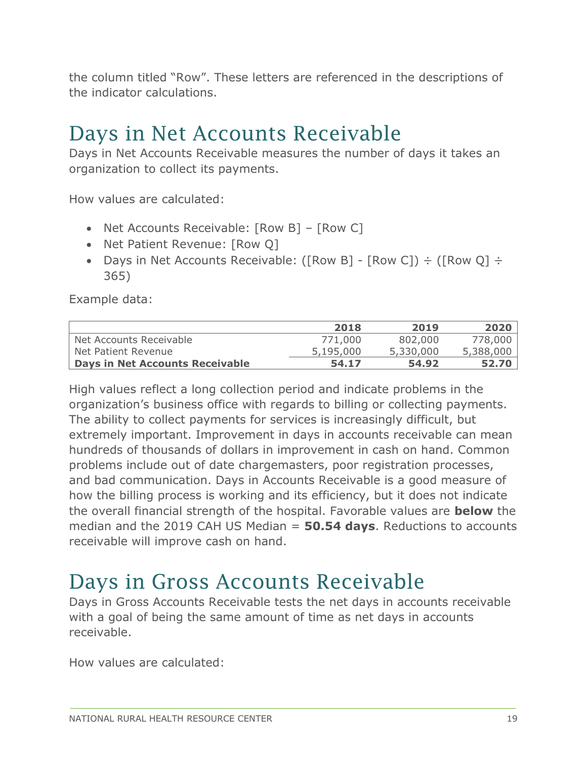the column titled "Row". These letters are referenced in the descriptions of the indicator calculations.

#### <span id="page-18-0"></span>Days in Net Accounts Receivable

Days in Net Accounts Receivable measures the number of days it takes an organization to collect its payments.

How values are calculated:

- Net Accounts Receivable: [Row B] [Row C]
- Net Patient Revenue: [Row Q]
- Days in Net Accounts Receivable: ([Row B] [Row C])  $\div$  ([Row Q]  $\div$ 365)

Example data:

|                                 | 2018      | 2019      | 2020      |
|---------------------------------|-----------|-----------|-----------|
| Net Accounts Receivable         | 771,000   | 802,000   | 778,000   |
| Net Patient Revenue             | 5,195,000 | 5,330,000 | 5,388,000 |
| Days in Net Accounts Receivable | 54.17     | 54.92     | 52.70     |

High values reflect a long collection period and indicate problems in the organization's business office with regards to billing or collecting payments. The ability to collect payments for services is increasingly difficult, but extremely important. Improvement in days in accounts receivable can mean hundreds of thousands of dollars in improvement in cash on hand. Common problems include out of date chargemasters, poor registration processes, and bad communication. Days in Accounts Receivable is a good measure of how the billing process is working and its efficiency, but it does not indicate the overall financial strength of the hospital. Favorable values are **below** the median and the 2019 CAH US Median = **50.54 days**. Reductions to accounts receivable will improve cash on hand.

#### <span id="page-18-1"></span>Days in Gross Accounts Receivable

Days in Gross Accounts Receivable tests the net days in accounts receivable with a goal of being the same amount of time as net days in accounts receivable.

How values are calculated: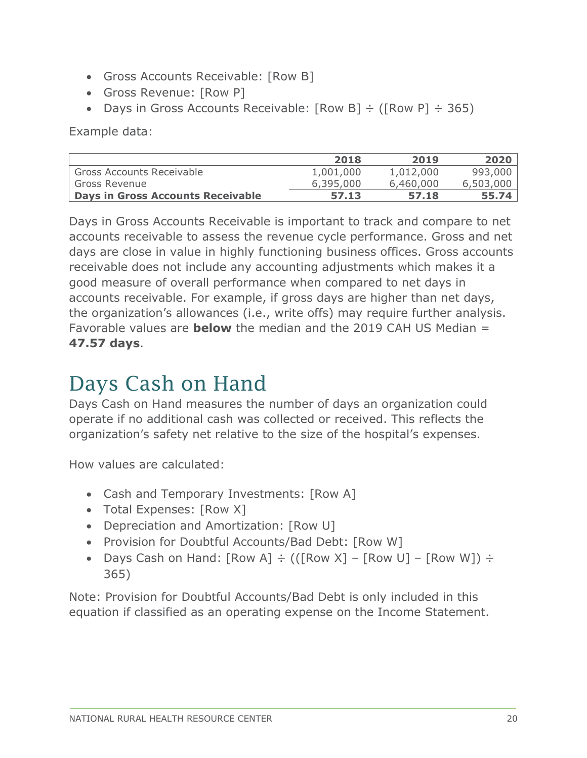- Gross Accounts Receivable: [Row B]
- Gross Revenue: [Row P]
- Days in Gross Accounts Receivable:  $[Row B] \div ([Row P] \div 365)$

Example data:

|                                        | 2018      | 2019      | 2020      |
|----------------------------------------|-----------|-----------|-----------|
| <sup>I</sup> Gross Accounts Receivable | 1,001,000 | 1,012,000 | 993,000   |
| l Gross Revenue                        | 6,395,000 | 6,460,000 | 6,503,000 |
| Days in Gross Accounts Receivable      | 57.13     | 57.18     | 55.74     |

Days in Gross Accounts Receivable is important to track and compare to net accounts receivable to assess the revenue cycle performance. Gross and net days are close in value in highly functioning business offices. Gross accounts receivable does not include any accounting adjustments which makes it a good measure of overall performance when compared to net days in accounts receivable. For example, if gross days are higher than net days, the organization's allowances (i.e., write offs) may require further analysis. Favorable values are **below** the median and the 2019 CAH US Median = **47.57 days**.

#### <span id="page-19-0"></span>Days Cash on Hand

Days Cash on Hand measures the number of days an organization could operate if no additional cash was collected or received. This reflects the organization's safety net relative to the size of the hospital's expenses.

How values are calculated:

- Cash and Temporary Investments: [Row A]
- Total Expenses: [Row X]
- Depreciation and Amortization: [Row U]
- Provision for Doubtful Accounts/Bad Debt: [Row W]
- Days Cash on Hand:  $[Row A] \div (([Row X] [Row U] [Row W]) \div$ 365)

Note: Provision for Doubtful Accounts/Bad Debt is only included in this equation if classified as an operating expense on the Income Statement.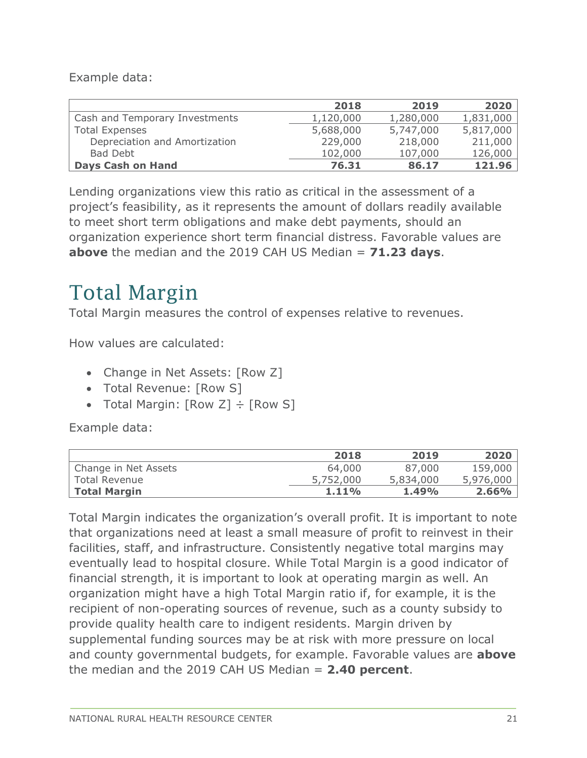Example data:

|                                | 2018      | 2019      | 2020      |
|--------------------------------|-----------|-----------|-----------|
| Cash and Temporary Investments | 1,120,000 | 1,280,000 | 1,831,000 |
| <b>Total Expenses</b>          | 5,688,000 | 5,747,000 | 5,817,000 |
| Depreciation and Amortization  | 229,000   | 218,000   | 211,000   |
| Bad Debt                       | 102,000   | 107,000   | 126,000   |
| <b>Days Cash on Hand</b>       | 76.31     | 86.17     | 121.96    |

Lending organizations view this ratio as critical in the assessment of a project's feasibility, as it represents the amount of dollars readily available to meet short term obligations and make debt payments, should an organization experience short term financial distress. Favorable values are **above** the median and the 2019 CAH US Median = **71.23 days**.

#### <span id="page-20-0"></span>Total Margin

Total Margin measures the control of expenses relative to revenues.

How values are calculated:

- Change in Net Assets: [Row Z]
- Total Revenue: [Row S]
- Total Margin:  $[Row Z] \div [Row S]$

Example data:

|                      | 2018      | 2019      | 2020      |
|----------------------|-----------|-----------|-----------|
| Change in Net Assets | 64,000    | 87,000    | 159,000   |
| Total Revenue        | 5,752,000 | 5,834,000 | 5,976,000 |
| Total Margin         | 1.11%     | 1.49%     | $2.66\%$  |

Total Margin indicates the organization's overall profit. It is important to note that organizations need at least a small measure of profit to reinvest in their facilities, staff, and infrastructure. Consistently negative total margins may eventually lead to hospital closure. While Total Margin is a good indicator of financial strength, it is important to look at operating margin as well. An organization might have a high Total Margin ratio if, for example, it is the recipient of non-operating sources of revenue, such as a county subsidy to provide quality health care to indigent residents. Margin driven by supplemental funding sources may be at risk with more pressure on local and county governmental budgets, for example. Favorable values are **above** the median and the 2019 CAH US Median = **2.40 percent**.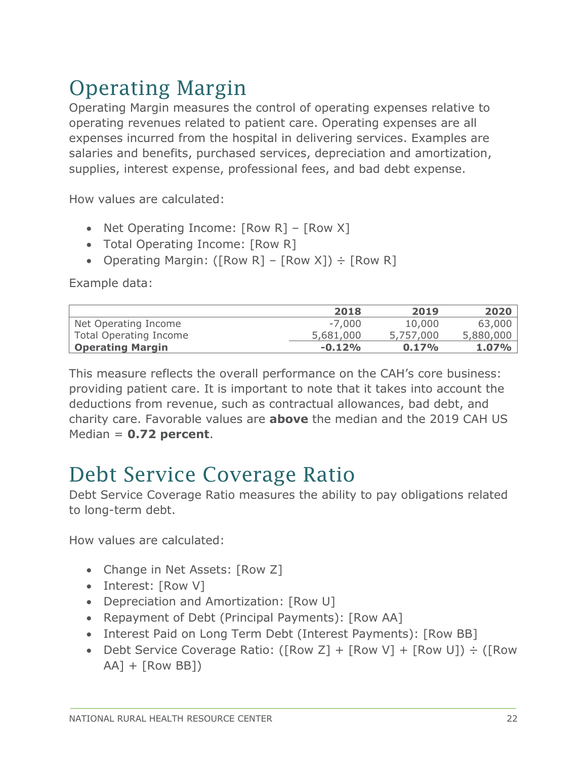### <span id="page-21-0"></span>Operating Margin

Operating Margin measures the control of operating expenses relative to operating revenues related to patient care. Operating expenses are all expenses incurred from the hospital in delivering services. Examples are salaries and benefits, purchased services, depreciation and amortization, supplies, interest expense, professional fees, and bad debt expense.

How values are calculated:

- Net Operating Income: [Row R] [Row X]
- Total Operating Income: [Row R]
- Operating Margin: ([Row R] [Row X])  $\div$  [Row R]

Example data:

|                               | 2018      | 2019      | 2020      |
|-------------------------------|-----------|-----------|-----------|
| Net Operating Income          | $-7.000$  | 10,000    | 63,000    |
| <b>Total Operating Income</b> | 5,681,000 | 5,757,000 | 5,880,000 |
| <b>Operating Margin</b>       | $-0.12%$  | 0.17%     | 1.07%     |

This measure reflects the overall performance on the CAH's core business: providing patient care. It is important to note that it takes into account the deductions from revenue, such as contractual allowances, bad debt, and charity care. Favorable values are **above** the median and the 2019 CAH US Median = **0.72 percent**.

#### <span id="page-21-1"></span>Debt Service Coverage Ratio

Debt Service Coverage Ratio measures the ability to pay obligations related to long-term debt.

How values are calculated:

- Change in Net Assets: [Row Z]
- Interest: [Row V]
- Depreciation and Amortization: [Row U]
- Repayment of Debt (Principal Payments): [Row AA]
- Interest Paid on Long Term Debt (Interest Payments): [Row BB]
- Debt Service Coverage Ratio: ( $[Row Z] + [Row V] + [Row U]$ ) ÷ ( $[Row$  $AA$ ] + [Row BB])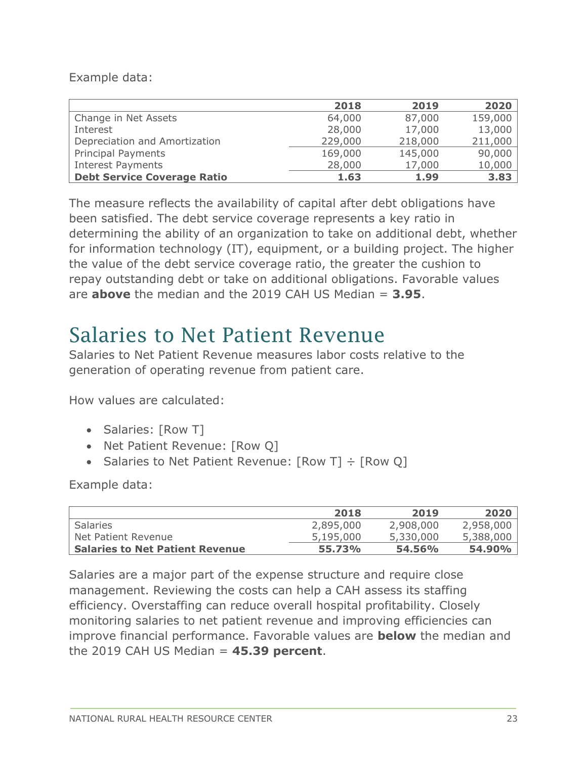Example data:

|                                    | 2018    | 2019    | 2020    |
|------------------------------------|---------|---------|---------|
| Change in Net Assets               | 64,000  | 87,000  | 159,000 |
| Interest                           | 28,000  | 17,000  | 13,000  |
| Depreciation and Amortization      | 229,000 | 218,000 | 211,000 |
| Principal Payments                 | 169,000 | 145,000 | 90,000  |
| <b>Interest Payments</b>           | 28,000  | 17,000  | 10,000  |
| <b>Debt Service Coverage Ratio</b> | 1.63    | 1.99    | 3.83    |

The measure reflects the availability of capital after debt obligations have been satisfied. The debt service coverage represents a key ratio in determining the ability of an organization to take on additional debt, whether for information technology (IT), equipment, or a building project. The higher the value of the debt service coverage ratio, the greater the cushion to repay outstanding debt or take on additional obligations. Favorable values are **above** the median and the 2019 CAH US Median = **3.95**.

#### <span id="page-22-0"></span>Salaries to Net Patient Revenue

Salaries to Net Patient Revenue measures labor costs relative to the generation of operating revenue from patient care.

How values are calculated:

- Salaries: [Row T]
- Net Patient Revenue: [Row Q]
- Salaries to Net Patient Revenue:  $[Row T] \div [Row Q]$

Example data:

|                                        | 2018      | 2019      | 2020          |
|----------------------------------------|-----------|-----------|---------------|
| <b>Salaries</b>                        | 2,895,000 | 2,908,000 | 2,958,000     |
| Net Patient Revenue                    | 5,195,000 | 5,330,000 | 5,388,000     |
| <b>Salaries to Net Patient Revenue</b> | 55.73%    | 54.56%    | <b>54.90%</b> |

Salaries are a major part of the expense structure and require close management. Reviewing the costs can help a CAH assess its staffing efficiency. Overstaffing can reduce overall hospital profitability. Closely monitoring salaries to net patient revenue and improving efficiencies can improve financial performance. Favorable values are **below** the median and the 2019 CAH US Median = **45.39 percent**.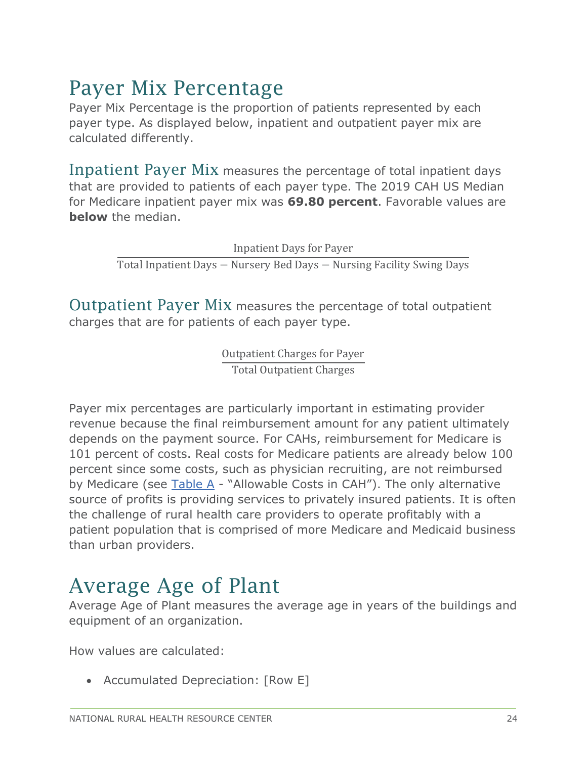#### <span id="page-23-0"></span>Payer Mix Percentage

Payer Mix Percentage is the proportion of patients represented by each payer type. As displayed below, inpatient and outpatient payer mix are calculated differently.

<span id="page-23-1"></span>Inpatient Payer Mix measures the percentage of total inpatient days that are provided to patients of each payer type. The 2019 CAH US Median for Medicare inpatient payer mix was **69.80 percent**. Favorable values are **below** the median.

> Inpatient Days for Payer Total Inpatient Days − Nursery Bed Days − Nursing Facility Swing Days

<span id="page-23-2"></span>Outpatient Payer Mix measures the percentage of total outpatient charges that are for patients of each payer type.

> Outpatient Charges for Payer Total Outpatient Charges

Payer mix percentages are particularly important in estimating provider revenue because the final reimbursement amount for any patient ultimately depends on the payment source. For CAHs, reimbursement for Medicare is 101 percent of costs. Real costs for Medicare patients are already below 100 percent since some costs, such as physician recruiting, are not reimbursed by Medicare (see Table A - "Allowable Costs in CAH"). The only alternative source of profits is providing services to privately insured patients. It is often the challenge of rural health care providers to operate profitably with a patient population that is comprised of more Medicare and Medicaid business than urban providers.

#### <span id="page-23-3"></span>Average Age of Plant

Average Age of Plant measures the average age in years of the buildings and equipment of an organization.

How values are calculated:

• Accumulated Depreciation: [Row E]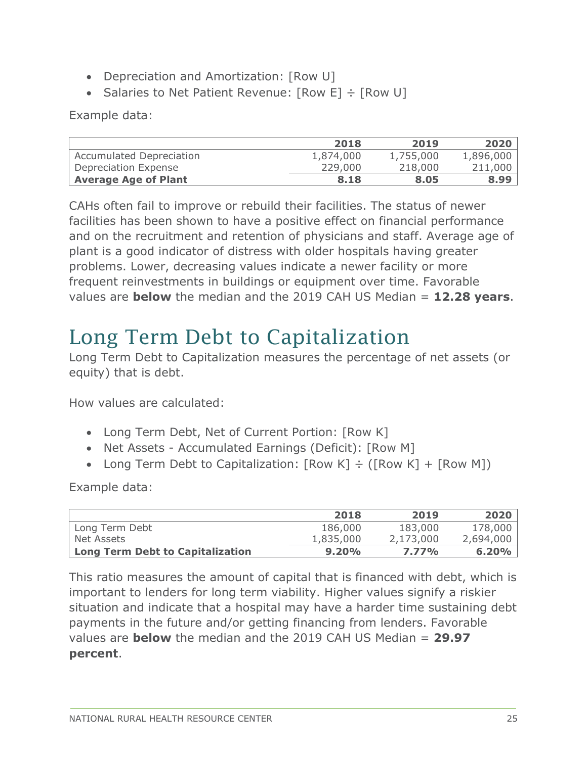- Depreciation and Amortization: [Row U]
- Salaries to Net Patient Revenue:  $[Row E] \div [Row U]$

Example data:

|                                 | 2018      | 2019      | 2020      |
|---------------------------------|-----------|-----------|-----------|
| <b>Accumulated Depreciation</b> | 1,874,000 | 1,755,000 | 1,896,000 |
| Depreciation Expense            | 229,000   | 218,000   | 211,000   |
| <b>Average Age of Plant</b>     | 8.18      | 8.05      | 8.99      |

CAHs often fail to improve or rebuild their facilities. The status of newer facilities has been shown to have a positive effect on financial performance and on the recruitment and retention of physicians and staff. Average age of plant is a good indicator of distress with older hospitals having greater problems. Lower, decreasing values indicate a newer facility or more frequent reinvestments in buildings or equipment over time. Favorable values are **below** the median and the 2019 CAH US Median = **12.28 years**.

### <span id="page-24-0"></span>Long Term Debt to Capitalization

Long Term Debt to Capitalization measures the percentage of net assets (or equity) that is debt.

How values are calculated:

- Long Term Debt, Net of Current Portion: [Row K]
- Net Assets Accumulated Earnings (Deficit): [Row M]
- Long Term Debt to Capitalization:  $[Row K] \div ([Row K] + [Row M])$

Example data:

|                                  | 2018      | 2019      | 2020      |
|----------------------------------|-----------|-----------|-----------|
| <sup>I</sup> Long Term Debt      | 186,000   | 183,000   | 178,000   |
| Net Assets                       | 1,835,000 | 2,173,000 | 2,694,000 |
| Long Term Debt to Capitalization | 9.20%     | 7.77%     | 6.20%     |

This ratio measures the amount of capital that is financed with debt, which is important to lenders for long term viability. Higher values signify a riskier situation and indicate that a hospital may have a harder time sustaining debt payments in the future and/or getting financing from lenders. Favorable values are **below** the median and the 2019 CAH US Median = **29.97 percent**.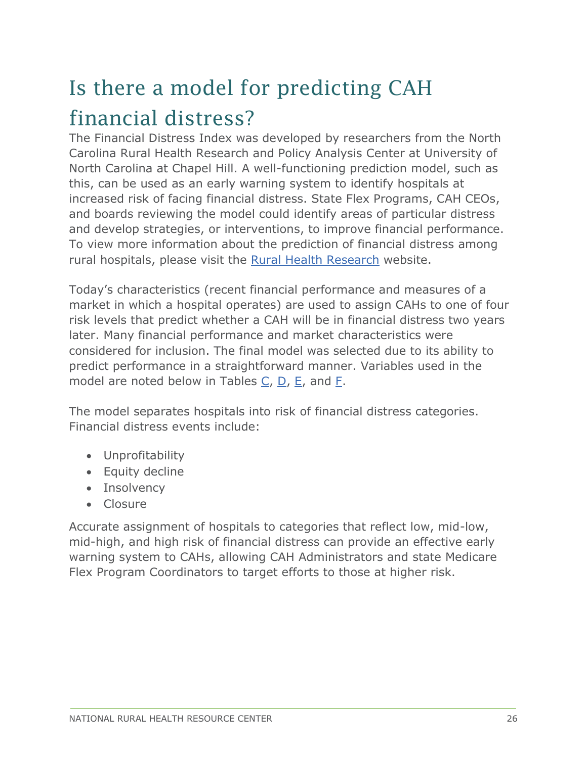### <span id="page-25-0"></span>Is there a model for predicting CAH financial distress?

The Financial Distress Index was developed by researchers from the North Carolina Rural Health Research and Policy Analysis Center at University of North Carolina at Chapel Hill. A well-functioning prediction model, such as this, can be used as an early warning system to identify hospitals at increased risk of facing financial distress. State Flex Programs, CAH CEOs, and boards reviewing the model could identify areas of particular distress and develop strategies, or interventions, to improve financial performance. To view more information about the prediction of financial distress among rural hospitals, please visit the [Rural Health Research](https://www.ruralhealthresearch.org/publications/998) website.

Today's characteristics (recent financial performance and measures of a market in which a hospital operates) are used to assign CAHs to one of four risk levels that predict whether a CAH will be in financial distress two years later. Many financial performance and market characteristics were considered for inclusion. The final model was selected due to its ability to predict performance in a straightforward manner. Variables used in the model are noted below in Tables [C,](#page-25-1) [D,](#page-26-1) [E,](#page-26-2) and [F.](#page-26-3)

The model separates hospitals into risk of financial distress categories. Financial distress events include:

- Unprofitability
- Equity decline
- Insolvency
- Closure

<span id="page-25-1"></span>Accurate assignment of hospitals to categories that reflect low, mid-low, mid-high, and high risk of financial distress can provide an effective early warning system to CAHs, allowing CAH Administrators and state Medicare Flex Program Coordinators to target efforts to those at higher risk.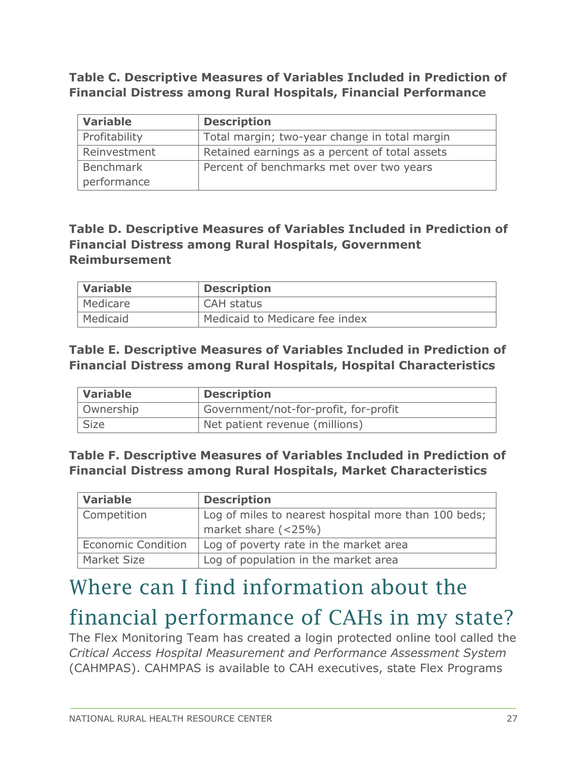**Table C. Descriptive Measures of Variables Included in Prediction of Financial Distress among Rural Hospitals, Financial Performance**

| <b>Variable</b> | <b>Description</b>                             |
|-----------------|------------------------------------------------|
| Profitability   | Total margin; two-year change in total margin  |
| Reinvestment    | Retained earnings as a percent of total assets |
| Benchmark       | Percent of benchmarks met over two years       |
| performance     |                                                |

#### <span id="page-26-1"></span>**Table D. Descriptive Measures of Variables Included in Prediction of Financial Distress among Rural Hospitals, Government Reimbursement**

| <i>Nariable</i> | <b>Description</b>             |
|-----------------|--------------------------------|
| Medicare        | CAH status                     |
| Medicaid        | Medicaid to Medicare fee index |

#### <span id="page-26-2"></span>**Table E. Descriptive Measures of Variables Included in Prediction of Financial Distress among Rural Hospitals, Hospital Characteristics**

| Variable    | <b>Description</b>                    |
|-------------|---------------------------------------|
| Ownership   | Government/not-for-profit, for-profit |
| <b>Size</b> | Net patient revenue (millions)        |

#### <span id="page-26-3"></span>**Table F. Descriptive Measures of Variables Included in Prediction of Financial Distress among Rural Hospitals, Market Characteristics**

| <b>Variable</b>           | <b>Description</b>                                   |
|---------------------------|------------------------------------------------------|
| Competition               | Log of miles to nearest hospital more than 100 beds; |
|                           | market share $(<25\%)$                               |
| <b>Economic Condition</b> | Log of poverty rate in the market area               |
| Market Size               | Log of population in the market area                 |

### <span id="page-26-0"></span>Where can I find information about the

#### financial performance of CAHs in my state?

The Flex Monitoring Team has created a login protected online tool called the *Critical Access Hospital Measurement and Performance Assessment System* (CAHMPAS). CAHMPAS is available to CAH executives, state Flex Programs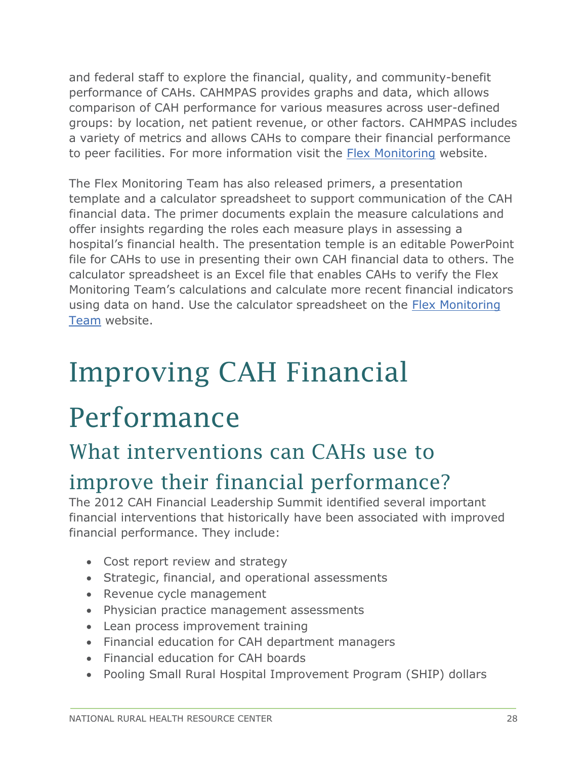and federal staff to explore the financial, quality, and community-benefit performance of CAHs. CAHMPAS provides graphs and data, which allows comparison of CAH performance for various measures across user-defined groups: by location, net patient revenue, or other factors. CAHMPAS includes a variety of metrics and allows CAHs to compare their financial performance to peer facilities. For more information visit the [Flex Monitoring](http://www.flexmonitoring.org/cahmpas/) website.

The Flex Monitoring Team has also released primers, a presentation template and a calculator spreadsheet to support communication of the CAH financial data. The primer documents explain the measure calculations and offer insights regarding the roles each measure plays in assessing a hospital's financial health. The presentation temple is an editable PowerPoint file for CAHs to use in presenting their own CAH financial data to others. The calculator spreadsheet is an Excel file that enables CAHs to verify the Flex Monitoring Team's calculations and calculate more recent financial indicators using data on hand. Use the calculator spreadsheet on the [Flex Monitoring](https://www.flexmonitoring.org/tool/cah-financial-indicators-primer-and-calculator-resources)  [Team](https://www.flexmonitoring.org/tool/cah-financial-indicators-primer-and-calculator-resources) website.

## <span id="page-27-0"></span>Improving CAH Financial

### Performance

#### <span id="page-27-1"></span>What interventions can CAHs use to

#### improve their financial performance?

The 2012 CAH Financial Leadership Summit identified several important financial interventions that historically have been associated with improved financial performance. They include:

- Cost report review and strategy
- Strategic, financial, and operational assessments
- Revenue cycle management
- Physician practice management assessments
- Lean process improvement training
- Financial education for CAH department managers
- Financial education for CAH boards
- Pooling Small Rural Hospital Improvement Program (SHIP) dollars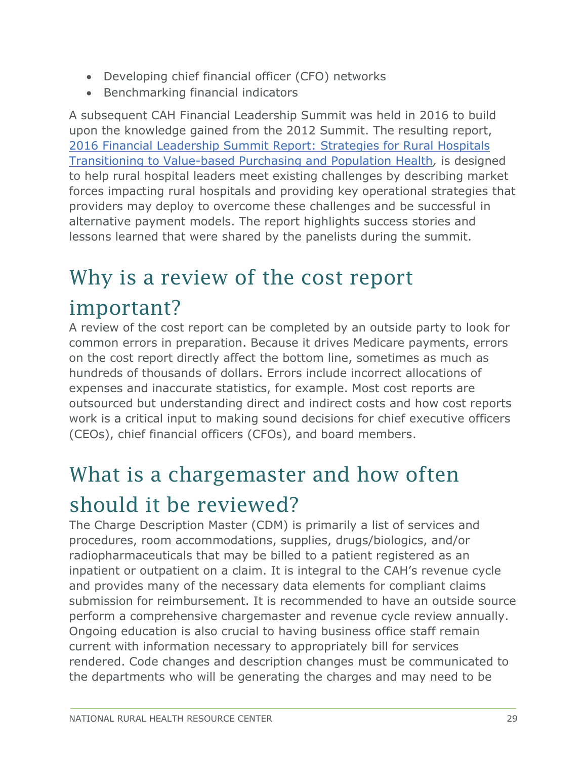- Developing chief financial officer (CFO) networks
- Benchmarking financial indicators

A subsequent CAH Financial Leadership Summit was held in 2016 to build upon the knowledge gained from the 2012 Summit. The resulting report, [2016 Financial Leadership Summit Report: Strategies for Rural Hospitals](https://www.ruralcenter.org/resource-library/2016-financial-leadership-summit-report-strategies-for-rural-hospitals)  [Transitioning to Value-based Purchasing and Population Health](https://www.ruralcenter.org/resource-library/2016-financial-leadership-summit-report-strategies-for-rural-hospitals)*,* is designed to help rural hospital leaders meet existing challenges by describing market forces impacting rural hospitals and providing key operational strategies that providers may deploy to overcome these challenges and be successful in alternative payment models. The report highlights success stories and lessons learned that were shared by the panelists during the summit.

## <span id="page-28-0"></span>Why is a review of the cost report

#### important?

A review of the cost report can be completed by an outside party to look for common errors in preparation. Because it drives Medicare payments, errors on the cost report directly affect the bottom line, sometimes as much as hundreds of thousands of dollars. Errors include incorrect allocations of expenses and inaccurate statistics, for example. Most cost reports are outsourced but understanding direct and indirect costs and how cost reports work is a critical input to making sound decisions for chief executive officers (CEOs), chief financial officers (CFOs), and board members.

### <span id="page-28-1"></span>What is a chargemaster and how often

#### should it be reviewed?

The Charge Description Master (CDM) is primarily a list of services and procedures, room accommodations, supplies, drugs/biologics, and/or radiopharmaceuticals that may be billed to a patient registered as an inpatient or outpatient on a claim. It is integral to the CAH's revenue cycle and provides many of the necessary data elements for compliant claims submission for reimbursement. It is recommended to have an outside source perform a comprehensive chargemaster and revenue cycle review annually. Ongoing education is also crucial to having business office staff remain current with information necessary to appropriately bill for services rendered. Code changes and description changes must be communicated to the departments who will be generating the charges and may need to be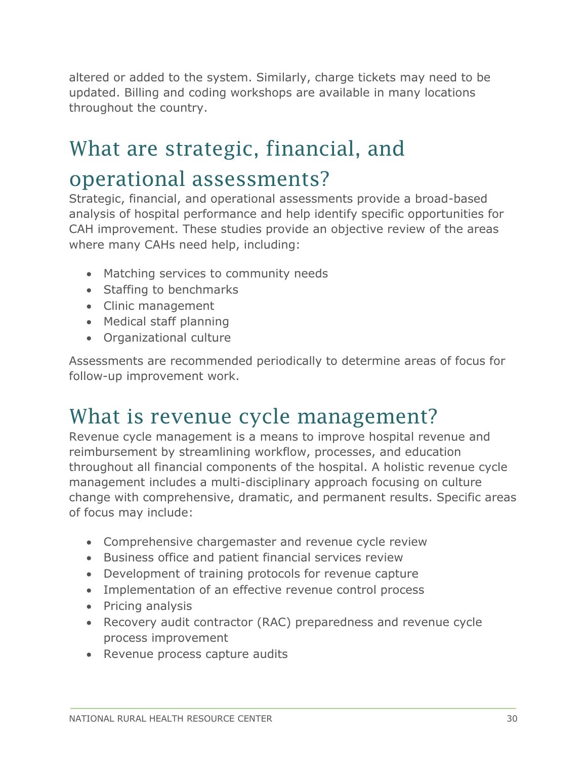altered or added to the system. Similarly, charge tickets may need to be updated. Billing and coding workshops are available in many locations throughout the country.

#### <span id="page-29-0"></span>What are strategic, financial, and

#### operational assessments?

Strategic, financial, and operational assessments provide a broad-based analysis of hospital performance and help identify specific opportunities for CAH improvement. These studies provide an objective review of the areas where many CAHs need help, including:

- Matching services to community needs
- Staffing to benchmarks
- Clinic management
- Medical staff planning
- Organizational culture

Assessments are recommended periodically to determine areas of focus for follow-up improvement work.

#### <span id="page-29-1"></span>What is revenue cycle management?

Revenue cycle management is a means to improve hospital revenue and reimbursement by streamlining workflow, processes, and education throughout all financial components of the hospital. A holistic revenue cycle management includes a multi-disciplinary approach focusing on culture change with comprehensive, dramatic, and permanent results. Specific areas of focus may include:

- Comprehensive chargemaster and revenue cycle review
- Business office and patient financial services review
- Development of training protocols for revenue capture
- Implementation of an effective revenue control process
- Pricing analysis
- Recovery audit contractor (RAC) preparedness and revenue cycle process improvement
- Revenue process capture audits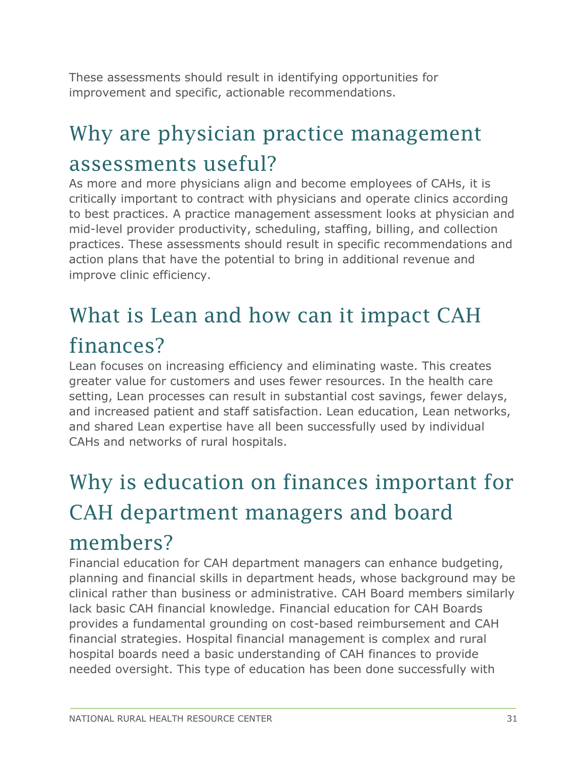These assessments should result in identifying opportunities for improvement and specific, actionable recommendations.

#### <span id="page-30-0"></span>Why are physician practice management assessments useful?

As more and more physicians align and become employees of CAHs, it is critically important to contract with physicians and operate clinics according to best practices. A practice management assessment looks at physician and mid-level provider productivity, scheduling, staffing, billing, and collection practices. These assessments should result in specific recommendations and action plans that have the potential to bring in additional revenue and improve clinic efficiency.

### <span id="page-30-1"></span>What is Lean and how can it impact CAH finances?

Lean focuses on increasing efficiency and eliminating waste. This creates greater value for customers and uses fewer resources. In the health care setting, Lean processes can result in substantial cost savings, fewer delays, and increased patient and staff satisfaction. Lean education, Lean networks, and shared Lean expertise have all been successfully used by individual CAHs and networks of rural hospitals.

## <span id="page-30-2"></span>Why is education on finances important for CAH department managers and board

#### members?

Financial education for CAH department managers can enhance budgeting, planning and financial skills in department heads, whose background may be clinical rather than business or administrative. CAH Board members similarly lack basic CAH financial knowledge. Financial education for CAH Boards provides a fundamental grounding on cost-based reimbursement and CAH financial strategies. Hospital financial management is complex and rural hospital boards need a basic understanding of CAH finances to provide needed oversight. This type of education has been done successfully with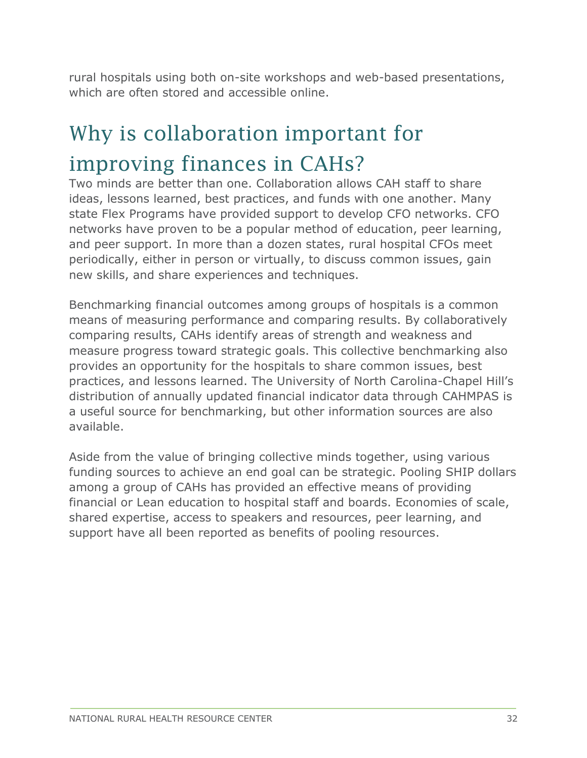rural hospitals using both on-site workshops and web-based presentations, which are often stored and accessible online.

### <span id="page-31-0"></span>Why is collaboration important for improving finances in CAHs?

Two minds are better than one. Collaboration allows CAH staff to share ideas, lessons learned, best practices, and funds with one another. Many state Flex Programs have provided support to develop CFO networks. CFO networks have proven to be a popular method of education, peer learning, and peer support. In more than a dozen states, rural hospital CFOs meet periodically, either in person or virtually, to discuss common issues, gain new skills, and share experiences and techniques.

Benchmarking financial outcomes among groups of hospitals is a common means of measuring performance and comparing results. By collaboratively comparing results, CAHs identify areas of strength and weakness and measure progress toward strategic goals. This collective benchmarking also provides an opportunity for the hospitals to share common issues, best practices, and lessons learned. The University of North Carolina-Chapel Hill's distribution of annually updated financial indicator data through CAHMPAS is a useful source for benchmarking, but other information sources are also available.

Aside from the value of bringing collective minds together, using various funding sources to achieve an end goal can be strategic. Pooling SHIP dollars among a group of CAHs has provided an effective means of providing financial or Lean education to hospital staff and boards. Economies of scale, shared expertise, access to speakers and resources, peer learning, and support have all been reported as benefits of pooling resources.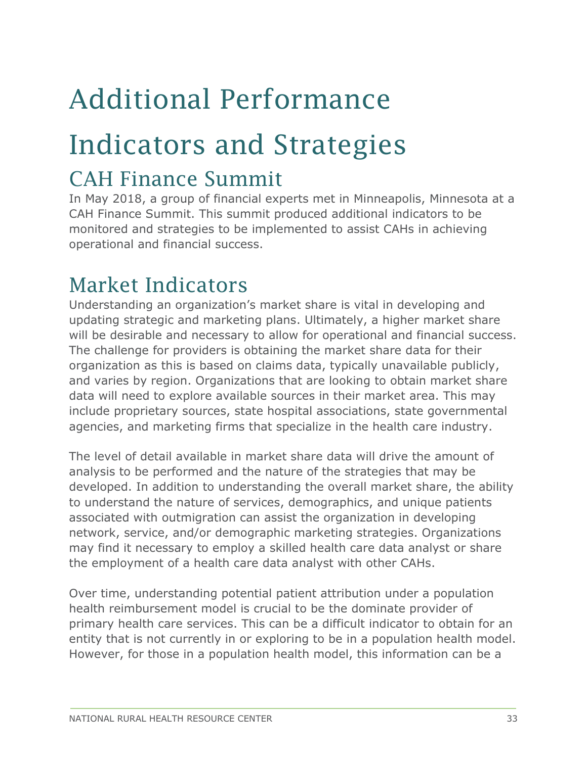## <span id="page-32-0"></span>Additional Performance

## Indicators and Strategies

#### <span id="page-32-1"></span>CAH Finance Summit

In May 2018, a group of financial experts met in Minneapolis, Minnesota at a CAH Finance Summit. This summit produced additional indicators to be monitored and strategies to be implemented to assist CAHs in achieving operational and financial success.

#### <span id="page-32-2"></span>Market Indicators

Understanding an organization's market share is vital in developing and updating strategic and marketing plans. Ultimately, a higher market share will be desirable and necessary to allow for operational and financial success. The challenge for providers is obtaining the market share data for their organization as this is based on claims data, typically unavailable publicly, and varies by region. Organizations that are looking to obtain market share data will need to explore available sources in their market area. This may include proprietary sources, state hospital associations, state governmental agencies, and marketing firms that specialize in the health care industry.

The level of detail available in market share data will drive the amount of analysis to be performed and the nature of the strategies that may be developed. In addition to understanding the overall market share, the ability to understand the nature of services, demographics, and unique patients associated with outmigration can assist the organization in developing network, service, and/or demographic marketing strategies. Organizations may find it necessary to employ a skilled health care data analyst or share the employment of a health care data analyst with other CAHs.

Over time, understanding potential patient attribution under a population health reimbursement model is crucial to be the dominate provider of primary health care services. This can be a difficult indicator to obtain for an entity that is not currently in or exploring to be in a population health model. However, for those in a population health model, this information can be a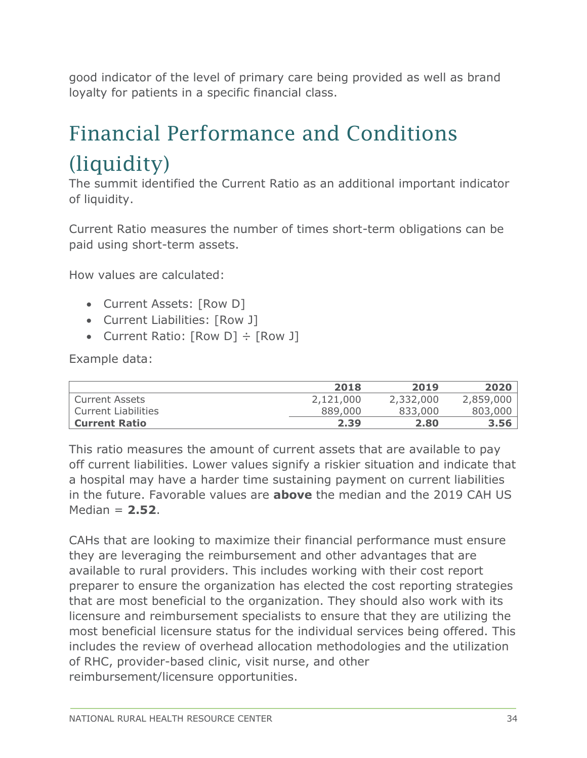good indicator of the level of primary care being provided as well as brand loyalty for patients in a specific financial class.

### <span id="page-33-0"></span>Financial Performance and Conditions (liquidity)

The summit identified the Current Ratio as an additional important indicator of liquidity.

Current Ratio measures the number of times short-term obligations can be paid using short-term assets.

How values are calculated:

- Current Assets: [Row D]
- Current Liabilities: [Row J]
- Current Ratio:  $[Row\ D] \div [Row\ J]$

Example data:

|                      | 2018      | 2019      | 2020      |
|----------------------|-----------|-----------|-----------|
| l Current Assets     | 2,121,000 | 2,332,000 | 2,859,000 |
| Current Liabilities  | 889,000   | 833,000   | 803,000   |
| <b>Current Ratio</b> | 2.39      | 2.80      | 3.56      |

This ratio measures the amount of current assets that are available to pay off current liabilities. Lower values signify a riskier situation and indicate that a hospital may have a harder time sustaining payment on current liabilities in the future. Favorable values are **above** the median and the 2019 CAH US Median = **2.52**.

CAHs that are looking to maximize their financial performance must ensure they are leveraging the reimbursement and other advantages that are available to rural providers. This includes working with their cost report preparer to ensure the organization has elected the cost reporting strategies that are most beneficial to the organization. They should also work with its licensure and reimbursement specialists to ensure that they are utilizing the most beneficial licensure status for the individual services being offered. This includes the review of overhead allocation methodologies and the utilization of RHC, provider-based clinic, visit nurse, and other reimbursement/licensure opportunities.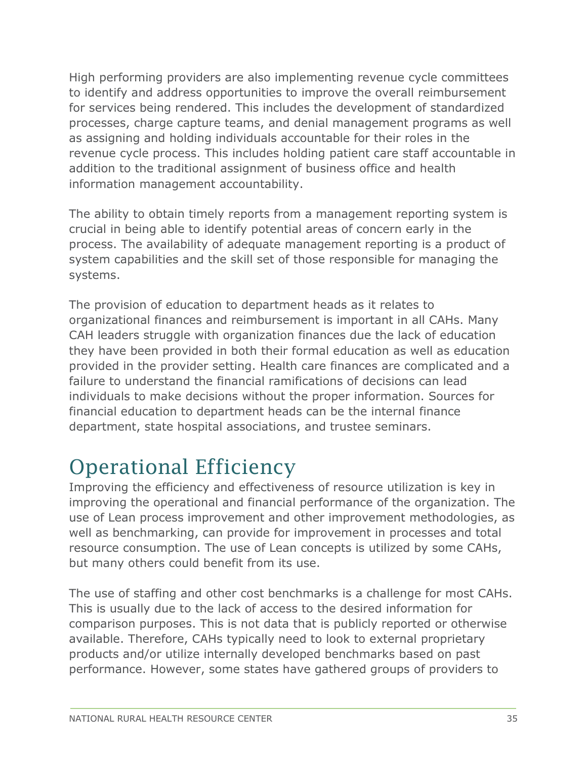High performing providers are also implementing revenue cycle committees to identify and address opportunities to improve the overall reimbursement for services being rendered. This includes the development of standardized processes, charge capture teams, and denial management programs as well as assigning and holding individuals accountable for their roles in the revenue cycle process. This includes holding patient care staff accountable in addition to the traditional assignment of business office and health information management accountability.

The ability to obtain timely reports from a management reporting system is crucial in being able to identify potential areas of concern early in the process. The availability of adequate management reporting is a product of system capabilities and the skill set of those responsible for managing the systems.

The provision of education to department heads as it relates to organizational finances and reimbursement is important in all CAHs. Many CAH leaders struggle with organization finances due the lack of education they have been provided in both their formal education as well as education provided in the provider setting. Health care finances are complicated and a failure to understand the financial ramifications of decisions can lead individuals to make decisions without the proper information. Sources for financial education to department heads can be the internal finance department, state hospital associations, and trustee seminars.

#### <span id="page-34-0"></span>Operational Efficiency

Improving the efficiency and effectiveness of resource utilization is key in improving the operational and financial performance of the organization. The use of Lean process improvement and other improvement methodologies, as well as benchmarking, can provide for improvement in processes and total resource consumption. The use of Lean concepts is utilized by some CAHs, but many others could benefit from its use.

The use of staffing and other cost benchmarks is a challenge for most CAHs. This is usually due to the lack of access to the desired information for comparison purposes. This is not data that is publicly reported or otherwise available. Therefore, CAHs typically need to look to external proprietary products and/or utilize internally developed benchmarks based on past performance. However, some states have gathered groups of providers to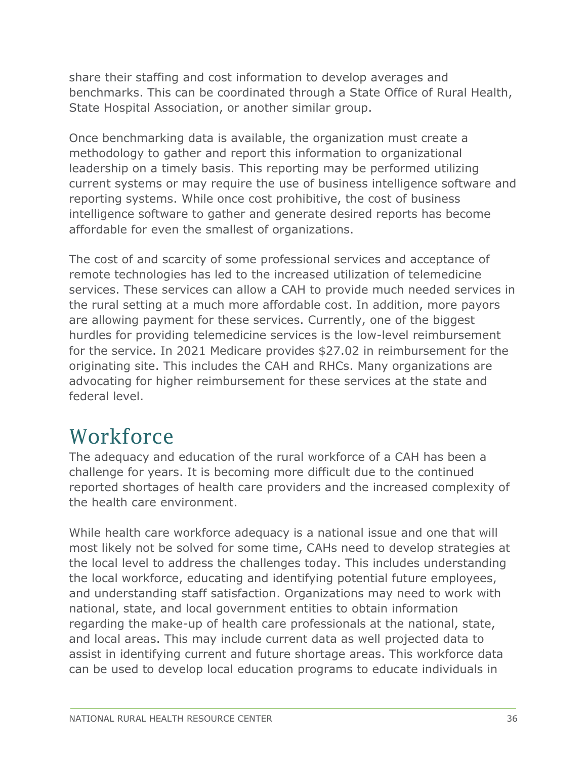share their staffing and cost information to develop averages and benchmarks. This can be coordinated through a State Office of Rural Health, State Hospital Association, or another similar group.

Once benchmarking data is available, the organization must create a methodology to gather and report this information to organizational leadership on a timely basis. This reporting may be performed utilizing current systems or may require the use of business intelligence software and reporting systems. While once cost prohibitive, the cost of business intelligence software to gather and generate desired reports has become affordable for even the smallest of organizations.

The cost of and scarcity of some professional services and acceptance of remote technologies has led to the increased utilization of telemedicine services. These services can allow a CAH to provide much needed services in the rural setting at a much more affordable cost. In addition, more payors are allowing payment for these services. Currently, one of the biggest hurdles for providing telemedicine services is the low-level reimbursement for the service. In 2021 Medicare provides \$27.02 in reimbursement for the originating site. This includes the CAH and RHCs. Many organizations are advocating for higher reimbursement for these services at the state and federal level.

#### <span id="page-35-0"></span>**Workforce**

The adequacy and education of the rural workforce of a CAH has been a challenge for years. It is becoming more difficult due to the continued reported shortages of health care providers and the increased complexity of the health care environment.

While health care workforce adequacy is a national issue and one that will most likely not be solved for some time, CAHs need to develop strategies at the local level to address the challenges today. This includes understanding the local workforce, educating and identifying potential future employees, and understanding staff satisfaction. Organizations may need to work with national, state, and local government entities to obtain information regarding the make-up of health care professionals at the national, state, and local areas. This may include current data as well projected data to assist in identifying current and future shortage areas. This workforce data can be used to develop local education programs to educate individuals in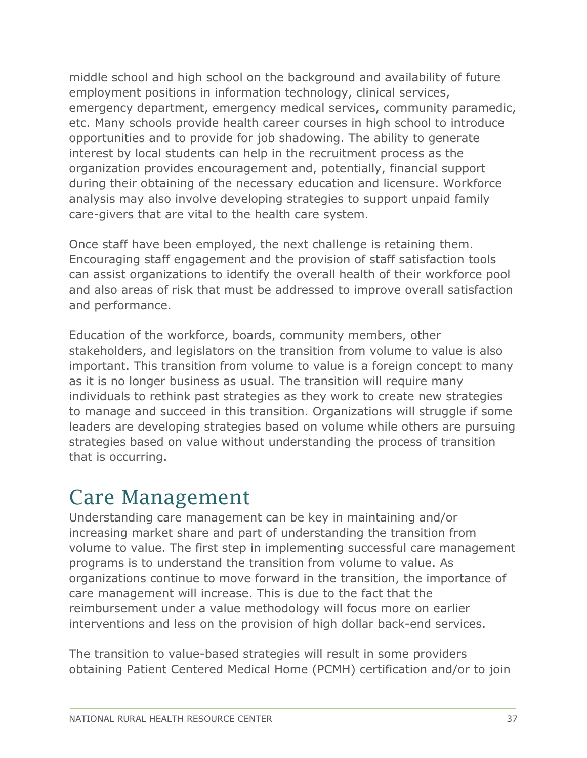middle school and high school on the background and availability of future employment positions in information technology, clinical services, emergency department, emergency medical services, community paramedic, etc. Many schools provide health career courses in high school to introduce opportunities and to provide for job shadowing. The ability to generate interest by local students can help in the recruitment process as the organization provides encouragement and, potentially, financial support during their obtaining of the necessary education and licensure. Workforce analysis may also involve developing strategies to support unpaid family care-givers that are vital to the health care system.

Once staff have been employed, the next challenge is retaining them. Encouraging staff engagement and the provision of staff satisfaction tools can assist organizations to identify the overall health of their workforce pool and also areas of risk that must be addressed to improve overall satisfaction and performance.

Education of the workforce, boards, community members, other stakeholders, and legislators on the transition from volume to value is also important. This transition from volume to value is a foreign concept to many as it is no longer business as usual. The transition will require many individuals to rethink past strategies as they work to create new strategies to manage and succeed in this transition. Organizations will struggle if some leaders are developing strategies based on volume while others are pursuing strategies based on value without understanding the process of transition that is occurring.

#### <span id="page-36-0"></span>Care Management

Understanding care management can be key in maintaining and/or increasing market share and part of understanding the transition from volume to value. The first step in implementing successful care management programs is to understand the transition from volume to value. As organizations continue to move forward in the transition, the importance of care management will increase. This is due to the fact that the reimbursement under a value methodology will focus more on earlier interventions and less on the provision of high dollar back-end services.

The transition to value-based strategies will result in some providers obtaining Patient Centered Medical Home (PCMH) certification and/or to join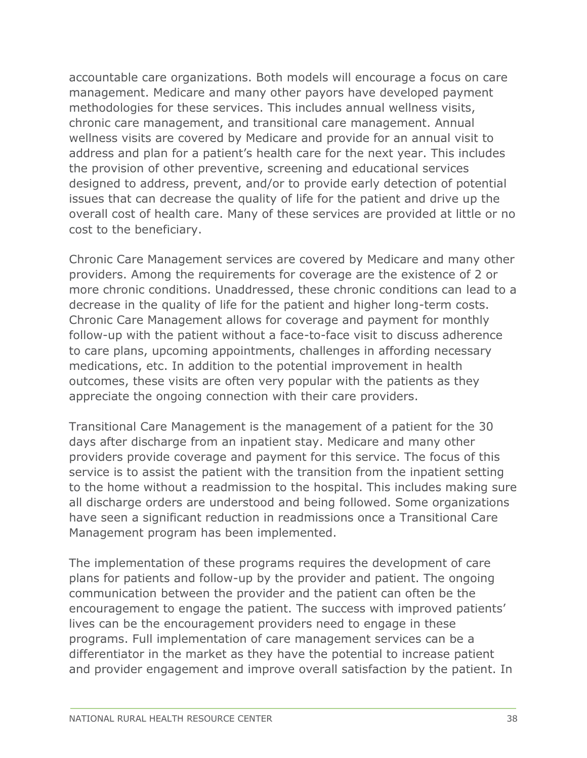accountable care organizations. Both models will encourage a focus on care management. Medicare and many other payors have developed payment methodologies for these services. This includes annual wellness visits, chronic care management, and transitional care management. Annual wellness visits are covered by Medicare and provide for an annual visit to address and plan for a patient's health care for the next year. This includes the provision of other preventive, screening and educational services designed to address, prevent, and/or to provide early detection of potential issues that can decrease the quality of life for the patient and drive up the overall cost of health care. Many of these services are provided at little or no cost to the beneficiary.

Chronic Care Management services are covered by Medicare and many other providers. Among the requirements for coverage are the existence of 2 or more chronic conditions. Unaddressed, these chronic conditions can lead to a decrease in the quality of life for the patient and higher long-term costs. Chronic Care Management allows for coverage and payment for monthly follow-up with the patient without a face-to-face visit to discuss adherence to care plans, upcoming appointments, challenges in affording necessary medications, etc. In addition to the potential improvement in health outcomes, these visits are often very popular with the patients as they appreciate the ongoing connection with their care providers.

Transitional Care Management is the management of a patient for the 30 days after discharge from an inpatient stay. Medicare and many other providers provide coverage and payment for this service. The focus of this service is to assist the patient with the transition from the inpatient setting to the home without a readmission to the hospital. This includes making sure all discharge orders are understood and being followed. Some organizations have seen a significant reduction in readmissions once a Transitional Care Management program has been implemented.

The implementation of these programs requires the development of care plans for patients and follow-up by the provider and patient. The ongoing communication between the provider and the patient can often be the encouragement to engage the patient. The success with improved patients' lives can be the encouragement providers need to engage in these programs. Full implementation of care management services can be a differentiator in the market as they have the potential to increase patient and provider engagement and improve overall satisfaction by the patient. In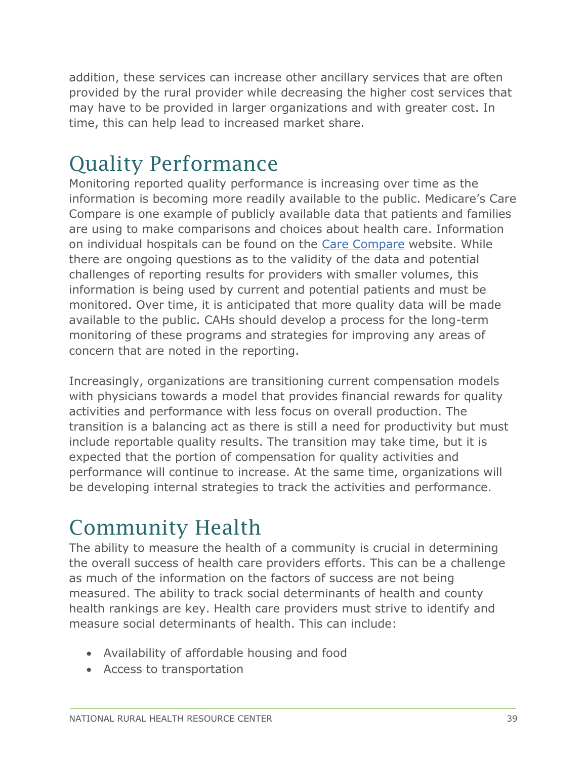addition, these services can increase other ancillary services that are often provided by the rural provider while decreasing the higher cost services that may have to be provided in larger organizations and with greater cost. In time, this can help lead to increased market share.

#### <span id="page-38-0"></span>Quality Performance

Monitoring reported quality performance is increasing over time as the information is becoming more readily available to the public. Medicare's Care Compare is one example of publicly available data that patients and families are using to make comparisons and choices about health care. Information on individual hospitals can be found on the [Care Compare](https://www.medicare.gov/care-compare/) website. While there are ongoing questions as to the validity of the data and potential challenges of reporting results for providers with smaller volumes, this information is being used by current and potential patients and must be monitored. Over time, it is anticipated that more quality data will be made available to the public. CAHs should develop a process for the long-term monitoring of these programs and strategies for improving any areas of concern that are noted in the reporting.

Increasingly, organizations are transitioning current compensation models with physicians towards a model that provides financial rewards for quality activities and performance with less focus on overall production. The transition is a balancing act as there is still a need for productivity but must include reportable quality results. The transition may take time, but it is expected that the portion of compensation for quality activities and performance will continue to increase. At the same time, organizations will be developing internal strategies to track the activities and performance.

#### <span id="page-38-1"></span>Community Health

The ability to measure the health of a community is crucial in determining the overall success of health care providers efforts. This can be a challenge as much of the information on the factors of success are not being measured. The ability to track social determinants of health and county health rankings are key. Health care providers must strive to identify and measure social determinants of health. This can include:

- Availability of affordable housing and food
- Access to transportation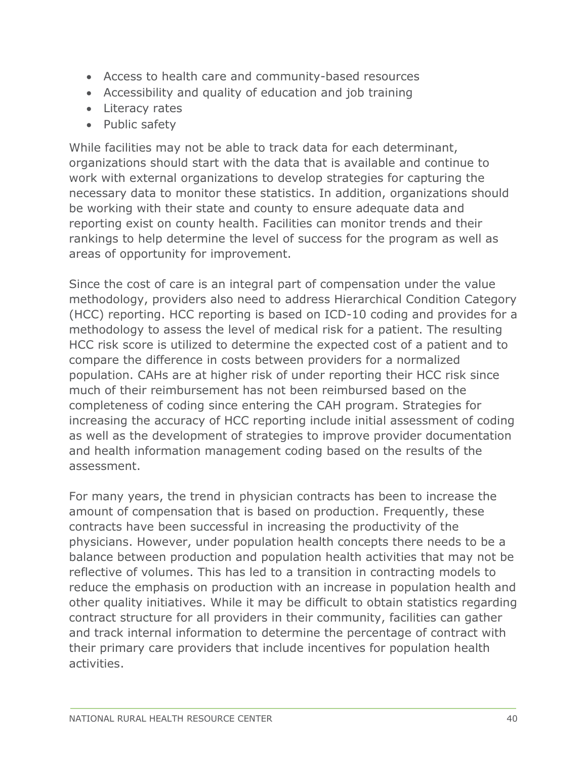- Access to health care and community-based resources
- Accessibility and quality of education and job training
- Literacy rates
- Public safety

While facilities may not be able to track data for each determinant, organizations should start with the data that is available and continue to work with external organizations to develop strategies for capturing the necessary data to monitor these statistics. In addition, organizations should be working with their state and county to ensure adequate data and reporting exist on county health. Facilities can monitor trends and their rankings to help determine the level of success for the program as well as areas of opportunity for improvement.

Since the cost of care is an integral part of compensation under the value methodology, providers also need to address Hierarchical Condition Category (HCC) reporting. HCC reporting is based on ICD-10 coding and provides for a methodology to assess the level of medical risk for a patient. The resulting HCC risk score is utilized to determine the expected cost of a patient and to compare the difference in costs between providers for a normalized population. CAHs are at higher risk of under reporting their HCC risk since much of their reimbursement has not been reimbursed based on the completeness of coding since entering the CAH program. Strategies for increasing the accuracy of HCC reporting include initial assessment of coding as well as the development of strategies to improve provider documentation and health information management coding based on the results of the assessment.

For many years, the trend in physician contracts has been to increase the amount of compensation that is based on production. Frequently, these contracts have been successful in increasing the productivity of the physicians. However, under population health concepts there needs to be a balance between production and population health activities that may not be reflective of volumes. This has led to a transition in contracting models to reduce the emphasis on production with an increase in population health and other quality initiatives. While it may be difficult to obtain statistics regarding contract structure for all providers in their community, facilities can gather and track internal information to determine the percentage of contract with their primary care providers that include incentives for population health activities.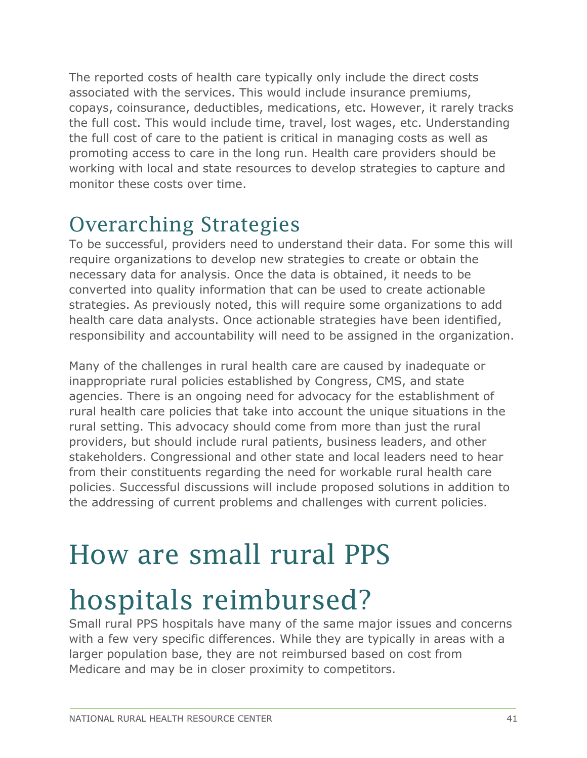The reported costs of health care typically only include the direct costs associated with the services. This would include insurance premiums, copays, coinsurance, deductibles, medications, etc. However, it rarely tracks the full cost. This would include time, travel, lost wages, etc. Understanding the full cost of care to the patient is critical in managing costs as well as promoting access to care in the long run. Health care providers should be working with local and state resources to develop strategies to capture and monitor these costs over time.

#### <span id="page-40-0"></span>Overarching Strategies

To be successful, providers need to understand their data. For some this will require organizations to develop new strategies to create or obtain the necessary data for analysis. Once the data is obtained, it needs to be converted into quality information that can be used to create actionable strategies. As previously noted, this will require some organizations to add health care data analysts. Once actionable strategies have been identified, responsibility and accountability will need to be assigned in the organization.

Many of the challenges in rural health care are caused by inadequate or inappropriate rural policies established by Congress, CMS, and state agencies. There is an ongoing need for advocacy for the establishment of rural health care policies that take into account the unique situations in the rural setting. This advocacy should come from more than just the rural providers, but should include rural patients, business leaders, and other stakeholders. Congressional and other state and local leaders need to hear from their constituents regarding the need for workable rural health care policies. Successful discussions will include proposed solutions in addition to the addressing of current problems and challenges with current policies.

### <span id="page-40-1"></span>How are small rural PPS

## hospitals reimbursed?

Small rural PPS hospitals have many of the same major issues and concerns with a few very specific differences. While they are typically in areas with a larger population base, they are not reimbursed based on cost from Medicare and may be in closer proximity to competitors.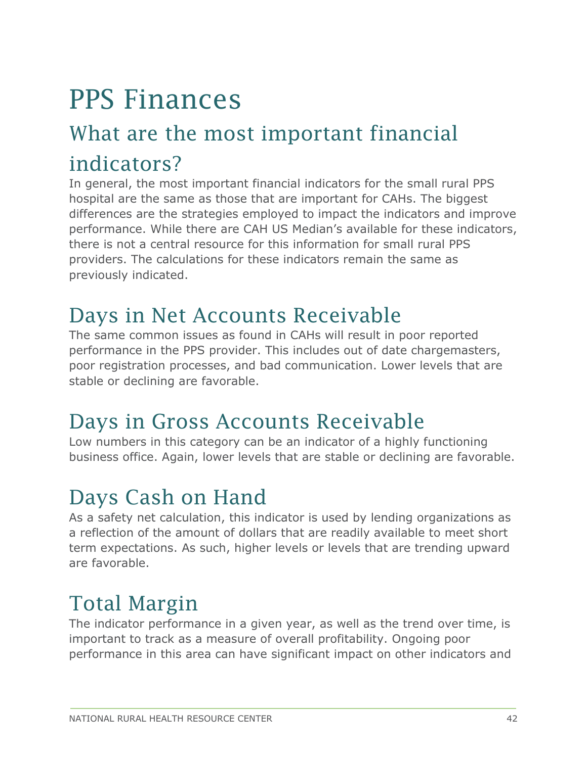### <span id="page-41-0"></span>PPS Finances

### <span id="page-41-1"></span>What are the most important financial indicators?

In general, the most important financial indicators for the small rural PPS hospital are the same as those that are important for CAHs. The biggest differences are the strategies employed to impact the indicators and improve performance. While there are CAH US Median's available for these indicators, there is not a central resource for this information for small rural PPS providers. The calculations for these indicators remain the same as previously indicated.

#### <span id="page-41-2"></span>Days in Net Accounts Receivable

The same common issues as found in CAHs will result in poor reported performance in the PPS provider. This includes out of date chargemasters, poor registration processes, and bad communication. Lower levels that are stable or declining are favorable.

#### <span id="page-41-3"></span>Days in Gross Accounts Receivable

Low numbers in this category can be an indicator of a highly functioning business office. Again, lower levels that are stable or declining are favorable.

#### <span id="page-41-4"></span>Days Cash on Hand

As a safety net calculation, this indicator is used by lending organizations as a reflection of the amount of dollars that are readily available to meet short term expectations. As such, higher levels or levels that are trending upward are favorable.

#### <span id="page-41-5"></span>Total Margin

The indicator performance in a given year, as well as the trend over time, is important to track as a measure of overall profitability. Ongoing poor performance in this area can have significant impact on other indicators and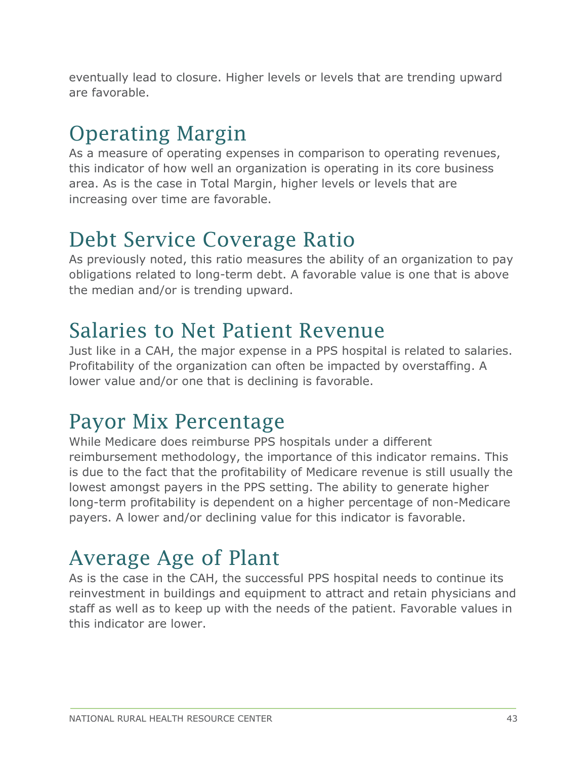eventually lead to closure. Higher levels or levels that are trending upward are favorable.

#### <span id="page-42-0"></span>Operating Margin

As a measure of operating expenses in comparison to operating revenues, this indicator of how well an organization is operating in its core business area. As is the case in Total Margin, higher levels or levels that are increasing over time are favorable.

#### <span id="page-42-1"></span>Debt Service Coverage Ratio

As previously noted, this ratio measures the ability of an organization to pay obligations related to long-term debt. A favorable value is one that is above the median and/or is trending upward.

#### <span id="page-42-2"></span>Salaries to Net Patient Revenue

Just like in a CAH, the major expense in a PPS hospital is related to salaries. Profitability of the organization can often be impacted by overstaffing. A lower value and/or one that is declining is favorable.

#### <span id="page-42-3"></span>Payor Mix Percentage

While Medicare does reimburse PPS hospitals under a different reimbursement methodology, the importance of this indicator remains. This is due to the fact that the profitability of Medicare revenue is still usually the lowest amongst payers in the PPS setting. The ability to generate higher long-term profitability is dependent on a higher percentage of non-Medicare payers. A lower and/or declining value for this indicator is favorable.

#### <span id="page-42-4"></span>Average Age of Plant

As is the case in the CAH, the successful PPS hospital needs to continue its reinvestment in buildings and equipment to attract and retain physicians and staff as well as to keep up with the needs of the patient. Favorable values in this indicator are lower.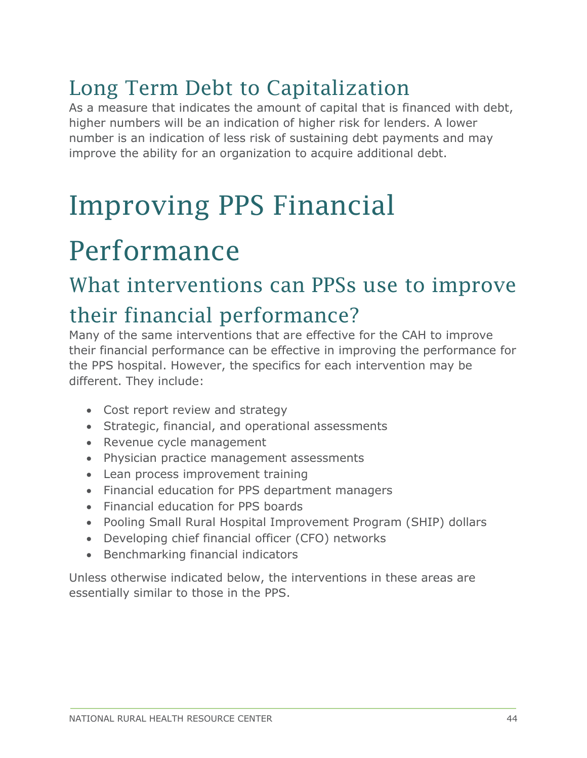### <span id="page-43-0"></span>Long Term Debt to Capitalization

As a measure that indicates the amount of capital that is financed with debt, higher numbers will be an indication of higher risk for lenders. A lower number is an indication of less risk of sustaining debt payments and may improve the ability for an organization to acquire additional debt.

## <span id="page-43-1"></span>Improving PPS Financial

## Performance

#### <span id="page-43-2"></span>What interventions can PPSs use to improve

#### their financial performance?

Many of the same interventions that are effective for the CAH to improve their financial performance can be effective in improving the performance for the PPS hospital. However, the specifics for each intervention may be different. They include:

- Cost report review and strategy
- Strategic, financial, and operational assessments
- Revenue cycle management
- Physician practice management assessments
- Lean process improvement training
- Financial education for PPS department managers
- Financial education for PPS boards
- Pooling Small Rural Hospital Improvement Program (SHIP) dollars
- Developing chief financial officer (CFO) networks
- Benchmarking financial indicators

Unless otherwise indicated below, the interventions in these areas are essentially similar to those in the PPS.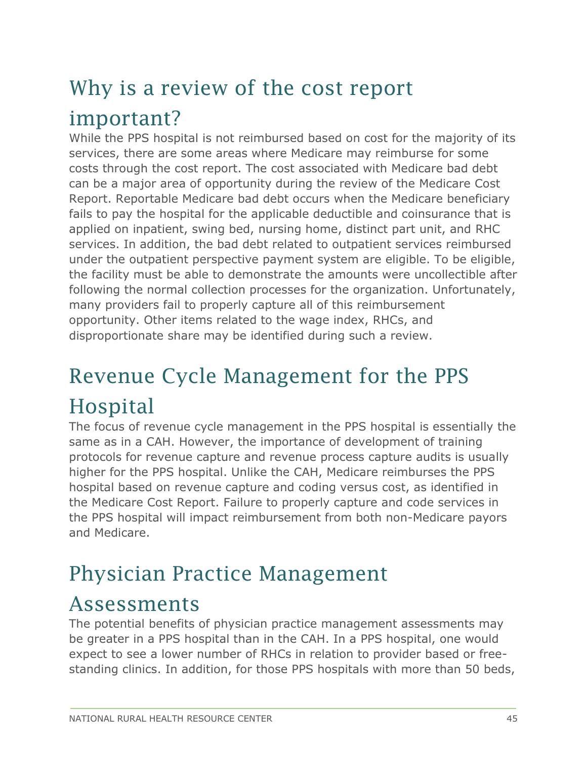### <span id="page-44-0"></span>Why is a review of the cost report important?

While the PPS hospital is not reimbursed based on cost for the majority of its services, there are some areas where Medicare may reimburse for some costs through the cost report. The cost associated with Medicare bad debt can be a major area of opportunity during the review of the Medicare Cost Report. Reportable Medicare bad debt occurs when the Medicare beneficiary fails to pay the hospital for the applicable deductible and coinsurance that is applied on inpatient, swing bed, nursing home, distinct part unit, and RHC services. In addition, the bad debt related to outpatient services reimbursed under the outpatient perspective payment system are eligible. To be eligible, the facility must be able to demonstrate the amounts were uncollectible after following the normal collection processes for the organization. Unfortunately, many providers fail to properly capture all of this reimbursement opportunity. Other items related to the wage index, RHCs, and disproportionate share may be identified during such a review.

### <span id="page-44-1"></span>Revenue Cycle Management for the PPS Hospital

The focus of revenue cycle management in the PPS hospital is essentially the same as in a CAH. However, the importance of development of training protocols for revenue capture and revenue process capture audits is usually higher for the PPS hospital. Unlike the CAH, Medicare reimburses the PPS hospital based on revenue capture and coding versus cost, as identified in the Medicare Cost Report. Failure to properly capture and code services in the PPS hospital will impact reimbursement from both non-Medicare payors and Medicare.

#### <span id="page-44-2"></span>Physician Practice Management

#### Assessments

The potential benefits of physician practice management assessments may be greater in a PPS hospital than in the CAH. In a PPS hospital, one would expect to see a lower number of RHCs in relation to provider based or freestanding clinics. In addition, for those PPS hospitals with more than 50 beds,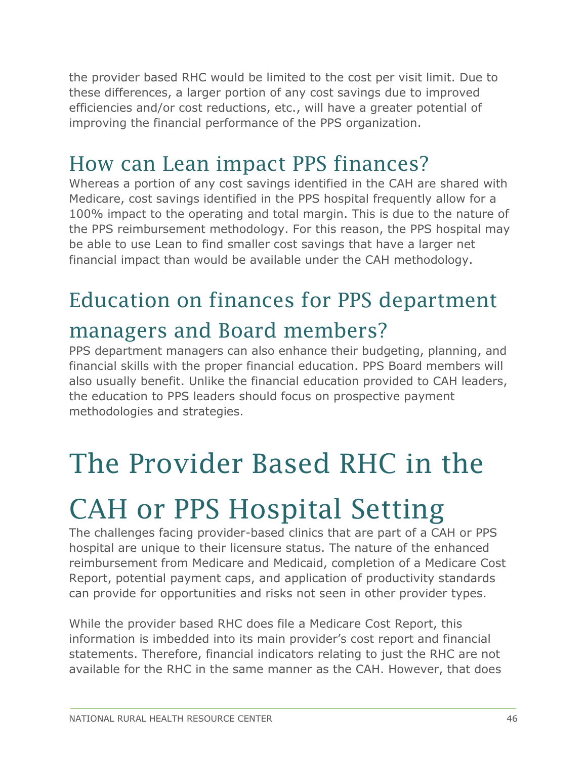the provider based RHC would be limited to the cost per visit limit. Due to these differences, a larger portion of any cost savings due to improved efficiencies and/or cost reductions, etc., will have a greater potential of improving the financial performance of the PPS organization.

#### <span id="page-45-0"></span>How can Lean impact PPS finances?

Whereas a portion of any cost savings identified in the CAH are shared with Medicare, cost savings identified in the PPS hospital frequently allow for a 100% impact to the operating and total margin. This is due to the nature of the PPS reimbursement methodology. For this reason, the PPS hospital may be able to use Lean to find smaller cost savings that have a larger net financial impact than would be available under the CAH methodology.

### <span id="page-45-1"></span>Education on finances for PPS department

#### managers and Board members?

PPS department managers can also enhance their budgeting, planning, and financial skills with the proper financial education. PPS Board members will also usually benefit. Unlike the financial education provided to CAH leaders, the education to PPS leaders should focus on prospective payment methodologies and strategies.

### <span id="page-45-2"></span>The Provider Based RHC in the

## CAH or PPS Hospital Setting

The challenges facing provider-based clinics that are part of a CAH or PPS hospital are unique to their licensure status. The nature of the enhanced reimbursement from Medicare and Medicaid, completion of a Medicare Cost Report, potential payment caps, and application of productivity standards can provide for opportunities and risks not seen in other provider types.

While the provider based RHC does file a Medicare Cost Report, this information is imbedded into its main provider's cost report and financial statements. Therefore, financial indicators relating to just the RHC are not available for the RHC in the same manner as the CAH. However, that does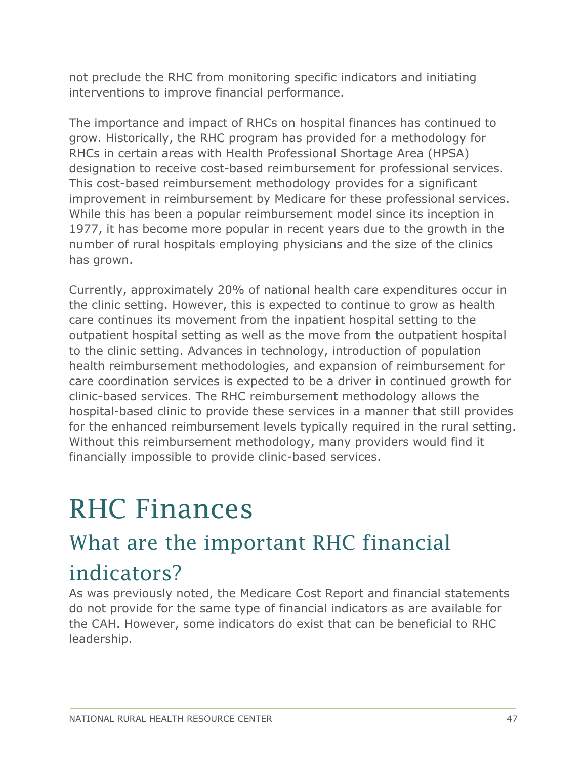not preclude the RHC from monitoring specific indicators and initiating interventions to improve financial performance.

The importance and impact of RHCs on hospital finances has continued to grow. Historically, the RHC program has provided for a methodology for RHCs in certain areas with Health Professional Shortage Area (HPSA) designation to receive cost-based reimbursement for professional services. This cost-based reimbursement methodology provides for a significant improvement in reimbursement by Medicare for these professional services. While this has been a popular reimbursement model since its inception in 1977, it has become more popular in recent years due to the growth in the number of rural hospitals employing physicians and the size of the clinics has grown.

Currently, approximately 20% of national health care expenditures occur in the clinic setting. However, this is expected to continue to grow as health care continues its movement from the inpatient hospital setting to the outpatient hospital setting as well as the move from the outpatient hospital to the clinic setting. Advances in technology, introduction of population health reimbursement methodologies, and expansion of reimbursement for care coordination services is expected to be a driver in continued growth for clinic-based services. The RHC reimbursement methodology allows the hospital-based clinic to provide these services in a manner that still provides for the enhanced reimbursement levels typically required in the rural setting. Without this reimbursement methodology, many providers would find it financially impossible to provide clinic-based services.

### <span id="page-46-0"></span>RHC Finances

#### <span id="page-46-1"></span>What are the important RHC financial

#### indicators?

As was previously noted, the Medicare Cost Report and financial statements do not provide for the same type of financial indicators as are available for the CAH. However, some indicators do exist that can be beneficial to RHC leadership.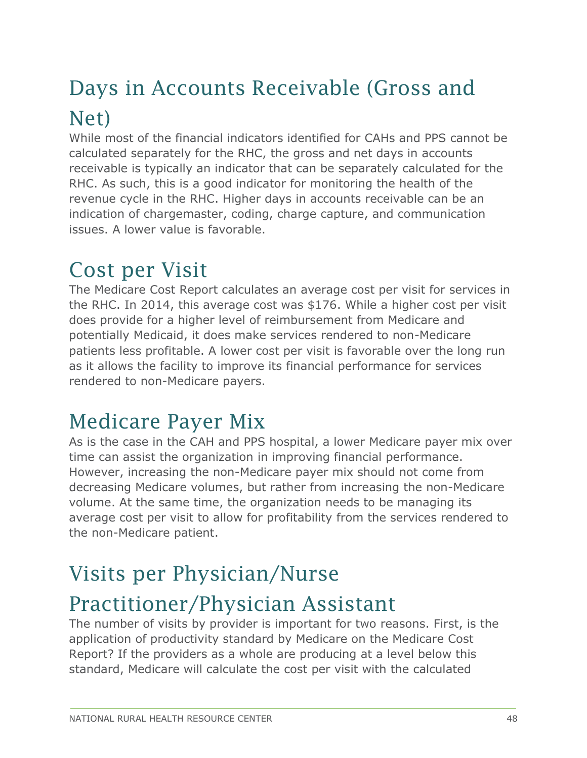### <span id="page-47-0"></span>Days in Accounts Receivable (Gross and Net)

While most of the financial indicators identified for CAHs and PPS cannot be calculated separately for the RHC, the gross and net days in accounts receivable is typically an indicator that can be separately calculated for the RHC. As such, this is a good indicator for monitoring the health of the revenue cycle in the RHC. Higher days in accounts receivable can be an indication of chargemaster, coding, charge capture, and communication issues. A lower value is favorable.

#### <span id="page-47-1"></span>Cost per Visit

The Medicare Cost Report calculates an average cost per visit for services in the RHC. In 2014, this average cost was \$176. While a higher cost per visit does provide for a higher level of reimbursement from Medicare and potentially Medicaid, it does make services rendered to non-Medicare patients less profitable. A lower cost per visit is favorable over the long run as it allows the facility to improve its financial performance for services rendered to non-Medicare payers.

#### <span id="page-47-2"></span>Medicare Payer Mix

As is the case in the CAH and PPS hospital, a lower Medicare payer mix over time can assist the organization in improving financial performance. However, increasing the non-Medicare payer mix should not come from decreasing Medicare volumes, but rather from increasing the non-Medicare volume. At the same time, the organization needs to be managing its average cost per visit to allow for profitability from the services rendered to the non-Medicare patient.

#### <span id="page-47-3"></span>Visits per Physician/Nurse

#### Practitioner/Physician Assistant

The number of visits by provider is important for two reasons. First, is the application of productivity standard by Medicare on the Medicare Cost Report? If the providers as a whole are producing at a level below this standard, Medicare will calculate the cost per visit with the calculated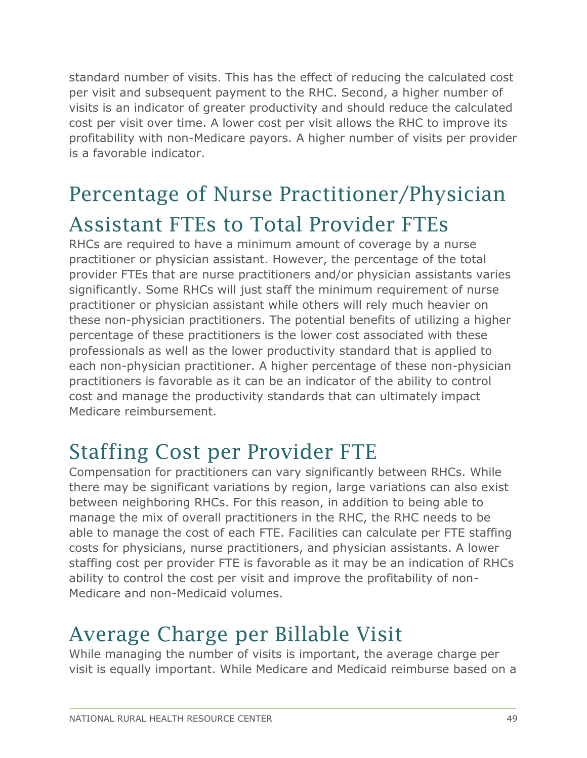standard number of visits. This has the effect of reducing the calculated cost per visit and subsequent payment to the RHC. Second, a higher number of visits is an indicator of greater productivity and should reduce the calculated cost per visit over time. A lower cost per visit allows the RHC to improve its profitability with non-Medicare payors. A higher number of visits per provider is a favorable indicator.

### <span id="page-48-0"></span>Percentage of Nurse Practitioner/Physician Assistant FTEs to Total Provider FTEs

RHCs are required to have a minimum amount of coverage by a nurse practitioner or physician assistant. However, the percentage of the total provider FTEs that are nurse practitioners and/or physician assistants varies significantly. Some RHCs will just staff the minimum requirement of nurse practitioner or physician assistant while others will rely much heavier on these non-physician practitioners. The potential benefits of utilizing a higher percentage of these practitioners is the lower cost associated with these professionals as well as the lower productivity standard that is applied to each non-physician practitioner. A higher percentage of these non-physician practitioners is favorable as it can be an indicator of the ability to control cost and manage the productivity standards that can ultimately impact Medicare reimbursement.

#### <span id="page-48-1"></span>Staffing Cost per Provider FTE

Compensation for practitioners can vary significantly between RHCs. While there may be significant variations by region, large variations can also exist between neighboring RHCs. For this reason, in addition to being able to manage the mix of overall practitioners in the RHC, the RHC needs to be able to manage the cost of each FTE. Facilities can calculate per FTE staffing costs for physicians, nurse practitioners, and physician assistants. A lower staffing cost per provider FTE is favorable as it may be an indication of RHCs ability to control the cost per visit and improve the profitability of non-Medicare and non-Medicaid volumes.

#### <span id="page-48-2"></span>Average Charge per Billable Visit

While managing the number of visits is important, the average charge per visit is equally important. While Medicare and Medicaid reimburse based on a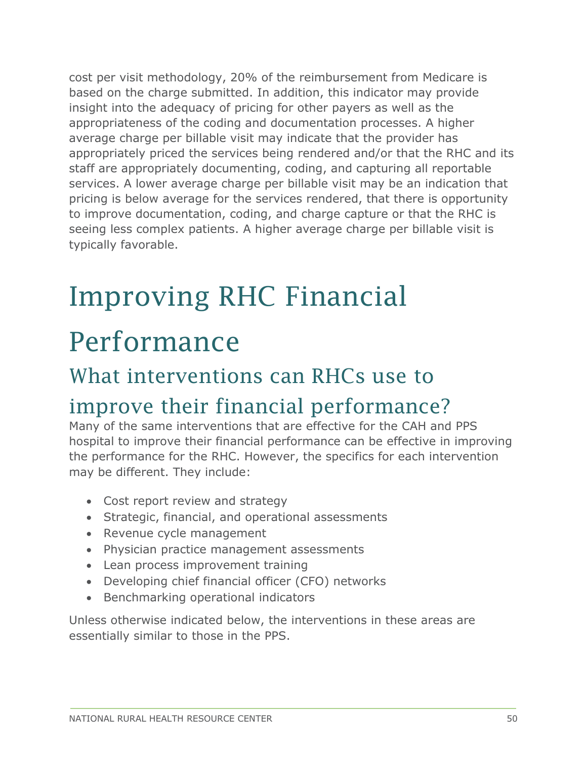cost per visit methodology, 20% of the reimbursement from Medicare is based on the charge submitted. In addition, this indicator may provide insight into the adequacy of pricing for other payers as well as the appropriateness of the coding and documentation processes. A higher average charge per billable visit may indicate that the provider has appropriately priced the services being rendered and/or that the RHC and its staff are appropriately documenting, coding, and capturing all reportable services. A lower average charge per billable visit may be an indication that pricing is below average for the services rendered, that there is opportunity to improve documentation, coding, and charge capture or that the RHC is seeing less complex patients. A higher average charge per billable visit is typically favorable.

## <span id="page-49-0"></span>Improving RHC Financial

### Performance

#### <span id="page-49-1"></span>What interventions can RHCs use to

#### improve their financial performance?

Many of the same interventions that are effective for the CAH and PPS hospital to improve their financial performance can be effective in improving the performance for the RHC. However, the specifics for each intervention may be different. They include:

- Cost report review and strategy
- Strategic, financial, and operational assessments
- Revenue cycle management
- Physician practice management assessments
- Lean process improvement training
- Developing chief financial officer (CFO) networks
- Benchmarking operational indicators

Unless otherwise indicated below, the interventions in these areas are essentially similar to those in the PPS.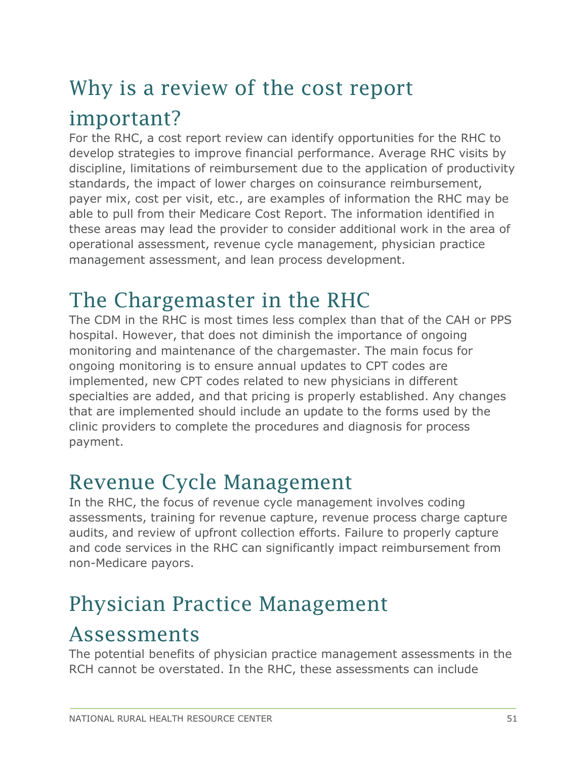### <span id="page-50-0"></span>Why is a review of the cost report important?

For the RHC, a cost report review can identify opportunities for the RHC to develop strategies to improve financial performance. Average RHC visits by discipline, limitations of reimbursement due to the application of productivity standards, the impact of lower charges on coinsurance reimbursement, payer mix, cost per visit, etc., are examples of information the RHC may be able to pull from their Medicare Cost Report. The information identified in these areas may lead the provider to consider additional work in the area of operational assessment, revenue cycle management, physician practice management assessment, and lean process development.

#### <span id="page-50-1"></span>The Chargemaster in the RHC

The CDM in the RHC is most times less complex than that of the CAH or PPS hospital. However, that does not diminish the importance of ongoing monitoring and maintenance of the chargemaster. The main focus for ongoing monitoring is to ensure annual updates to CPT codes are implemented, new CPT codes related to new physicians in different specialties are added, and that pricing is properly established. Any changes that are implemented should include an update to the forms used by the clinic providers to complete the procedures and diagnosis for process payment.

#### <span id="page-50-2"></span>Revenue Cycle Management

In the RHC, the focus of revenue cycle management involves coding assessments, training for revenue capture, revenue process charge capture audits, and review of upfront collection efforts. Failure to properly capture and code services in the RHC can significantly impact reimbursement from non-Medicare payors.

#### <span id="page-50-3"></span>Physician Practice Management

#### Assessments

The potential benefits of physician practice management assessments in the RCH cannot be overstated. In the RHC, these assessments can include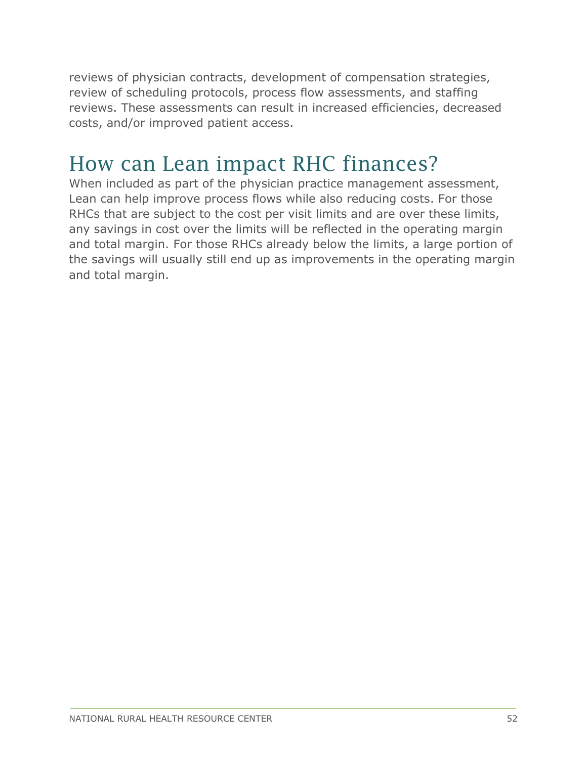reviews of physician contracts, development of compensation strategies, review of scheduling protocols, process flow assessments, and staffing reviews. These assessments can result in increased efficiencies, decreased costs, and/or improved patient access.

#### <span id="page-51-0"></span>How can Lean impact RHC finances?

When included as part of the physician practice management assessment, Lean can help improve process flows while also reducing costs. For those RHCs that are subject to the cost per visit limits and are over these limits, any savings in cost over the limits will be reflected in the operating margin and total margin. For those RHCs already below the limits, a large portion of the savings will usually still end up as improvements in the operating margin and total margin.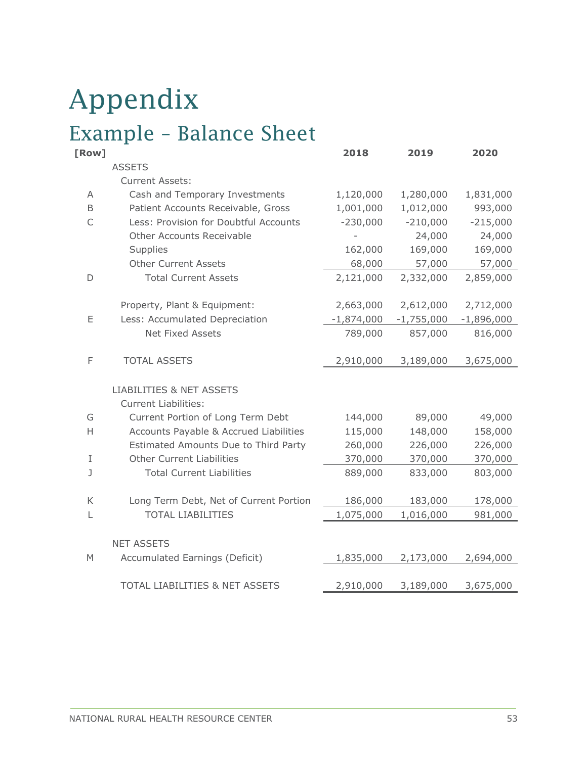# <span id="page-52-0"></span>Appendix

### <span id="page-52-1"></span>Example – Balance Sheet

| [Row] |                                           | 2018           | 2019         | 2020         |
|-------|-------------------------------------------|----------------|--------------|--------------|
|       | <b>ASSETS</b>                             |                |              |              |
|       | <b>Current Assets:</b>                    |                |              |              |
| Α     | Cash and Temporary Investments            | 1,120,000      | 1,280,000    | 1,831,000    |
| B     | Patient Accounts Receivable, Gross        | 1,001,000      | 1,012,000    | 993,000      |
| C     | Less: Provision for Doubtful Accounts     | $-230,000$     | $-210,000$   | $-215,000$   |
|       | Other Accounts Receivable                 | $\overline{a}$ | 24,000       | 24,000       |
|       | Supplies                                  | 162,000        | 169,000      | 169,000      |
|       | <b>Other Current Assets</b>               | 68,000         | 57,000       | 57,000       |
| D     | <b>Total Current Assets</b>               | 2,121,000      | 2,332,000    | 2,859,000    |
|       | Property, Plant & Equipment:              | 2,663,000      | 2,612,000    | 2,712,000    |
| Ε     | Less: Accumulated Depreciation            | $-1,874,000$   | $-1,755,000$ | $-1,896,000$ |
|       | <b>Net Fixed Assets</b>                   | 789,000        | 857,000      | 816,000      |
| F     | <b>TOTAL ASSETS</b>                       | 2,910,000      | 3,189,000    | 3,675,000    |
|       | <b>LIABILITIES &amp; NET ASSETS</b>       |                |              |              |
|       | <b>Current Liabilities:</b>               |                |              |              |
| G     | Current Portion of Long Term Debt         | 144,000        | 89,000       | 49,000       |
| H     | Accounts Payable & Accrued Liabilities    | 115,000        | 148,000      | 158,000      |
|       | Estimated Amounts Due to Third Party      | 260,000        | 226,000      | 226,000      |
| I     | <b>Other Current Liabilities</b>          | 370,000        | 370,000      | 370,000      |
| J     | <b>Total Current Liabilities</b>          | 889,000        | 833,000      | 803,000      |
| К     | Long Term Debt, Net of Current Portion    | 186,000        | 183,000      | 178,000      |
| L     | <b>TOTAL LIABILITIES</b>                  | 1,075,000      | 1,016,000    | 981,000      |
|       |                                           |                |              |              |
|       | <b>NET ASSETS</b>                         |                |              |              |
| M     | Accumulated Earnings (Deficit)            | 1,835,000      | 2,173,000    | 2,694,000    |
|       | <b>TOTAL LIABILITIES &amp; NET ASSETS</b> | 2,910,000      | 3,189,000    | 3,675,000    |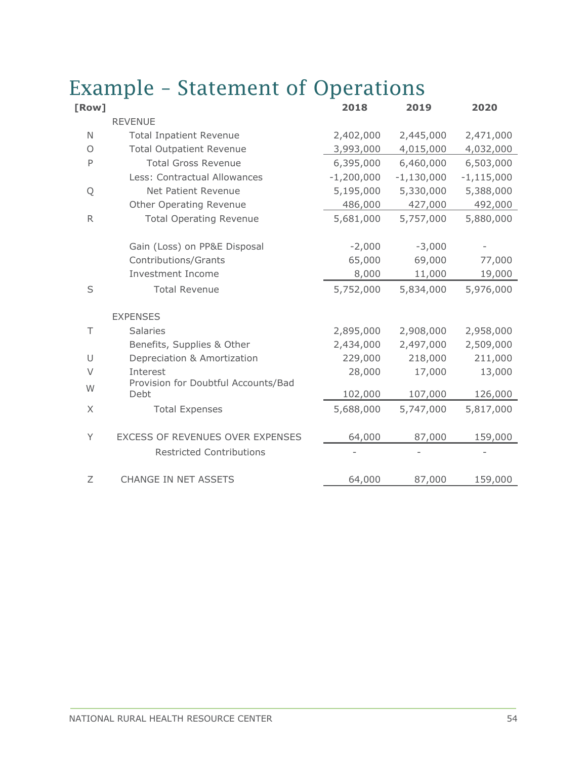| [Row]     |                                                      | 2018         | 2019         | 2020         |
|-----------|------------------------------------------------------|--------------|--------------|--------------|
|           | <b>REVENUE</b>                                       |              |              |              |
| N         | <b>Total Inpatient Revenue</b>                       | 2,402,000    | 2,445,000    | 2,471,000    |
| $\circ$   | <b>Total Outpatient Revenue</b>                      | 3,993,000    | 4,015,000    | 4,032,000    |
| P         | <b>Total Gross Revenue</b>                           | 6,395,000    | 6,460,000    | 6,503,000    |
|           | Less: Contractual Allowances                         | $-1,200,000$ | $-1,130,000$ | $-1,115,000$ |
| Q         | Net Patient Revenue                                  | 5,195,000    | 5,330,000    | 5,388,000    |
|           | Other Operating Revenue                              | 486,000      | 427,000      | 492,000      |
| ${\sf R}$ | <b>Total Operating Revenue</b>                       | 5,681,000    | 5,757,000    | 5,880,000    |
|           |                                                      | $-2,000$     | $-3,000$     |              |
|           | Gain (Loss) on PP&E Disposal<br>Contributions/Grants | 65,000       | 69,000       | 77,000       |
|           | <b>Investment Income</b>                             | 8,000        | 11,000       | 19,000       |
|           |                                                      |              |              |              |
| S         | <b>Total Revenue</b>                                 | 5,752,000    | 5,834,000    | 5,976,000    |
|           | <b>EXPENSES</b>                                      |              |              |              |
| Τ         | <b>Salaries</b>                                      | 2,895,000    | 2,908,000    | 2,958,000    |
|           | Benefits, Supplies & Other                           | 2,434,000    | 2,497,000    | 2,509,000    |
| U         | Depreciation & Amortization                          | 229,000      | 218,000      | 211,000      |
| V         | Interest                                             | 28,000       | 17,000       | 13,000       |
| W         | Provision for Doubtful Accounts/Bad<br>Debt          | 102,000      | 107,000      | 126,000      |
| $\times$  | <b>Total Expenses</b>                                | 5,688,000    | 5,747,000    | 5,817,000    |
|           |                                                      |              |              |              |
| Y         | EXCESS OF REVENUES OVER EXPENSES                     | 64,000       | 87,000       | 159,000      |
|           | <b>Restricted Contributions</b>                      |              |              |              |
| Ζ         | <b>CHANGE IN NET ASSETS</b>                          | 64,000       | 87,000       | 159,000      |

#### <span id="page-53-0"></span>Example – Statement of Operations